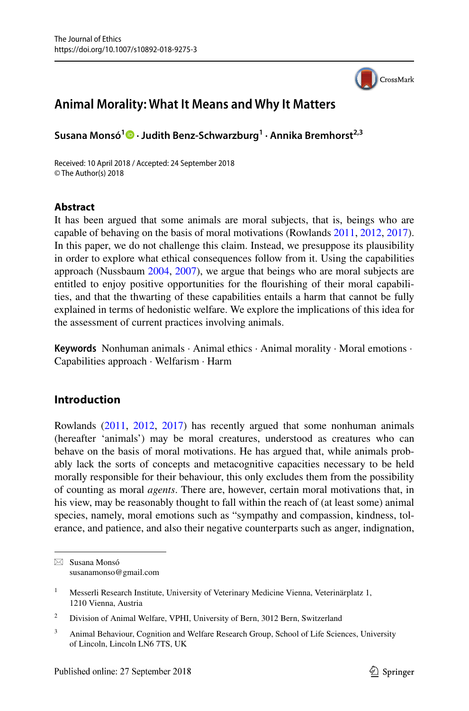# **Animal Morality: What It Means and Why It Matters**

**Susana Monsó<sup>1</sup> · Judith Benz‑Schwarzburg1 · Annika Bremhorst2,3**

Received: 10 April 2018 / Accepted: 24 September 2018 © The Author(s) 2018

## **Abstract**

It has been argued that some animals are moral subjects, that is, beings who are capable of behaving on the basis of moral motivations (Rowlands [2011,](#page-26-0) [2012,](#page-26-1) [2017\)](#page-26-2). In this paper, we do not challenge this claim. Instead, we presuppose its plausibility in order to explore what ethical consequences follow from it. Using the capabilities approach (Nussbaum [2004,](#page-26-3) [2007](#page-25-0)), we argue that beings who are moral subjects are entitled to enjoy positive opportunities for the fourishing of their moral capabilities, and that the thwarting of these capabilities entails a harm that cannot be fully explained in terms of hedonistic welfare. We explore the implications of this idea for the assessment of current practices involving animals.

**Keywords** Nonhuman animals · Animal ethics · Animal morality · Moral emotions · Capabilities approach · Welfarism · Harm

# **Introduction**

Rowlands [\(2011](#page-26-0), [2012,](#page-26-1) [2017\)](#page-26-2) has recently argued that some nonhuman animals (hereafter 'animals') may be moral creatures, understood as creatures who can behave on the basis of moral motivations. He has argued that, while animals probably lack the sorts of concepts and metacognitive capacities necessary to be held morally responsible for their behaviour, this only excludes them from the possibility of counting as moral *agents*. There are, however, certain moral motivations that, in his view, may be reasonably thought to fall within the reach of (at least some) animal species, namely, moral emotions such as "sympathy and compassion, kindness, tolerance, and patience, and also their negative counterparts such as anger, indignation,

CrossMark

 $\boxtimes$  Susana Monsó susanamonso@gmail.com

<sup>&</sup>lt;sup>1</sup> Messerli Research Institute, University of Veterinary Medicine Vienna, Veterinärplatz 1, 1210 Vienna, Austria

<sup>&</sup>lt;sup>2</sup> Division of Animal Welfare, VPHI, University of Bern, 3012 Bern, Switzerland

<sup>&</sup>lt;sup>3</sup> Animal Behaviour, Cognition and Welfare Research Group, School of Life Sciences, University of Lincoln, Lincoln LN6 7TS, UK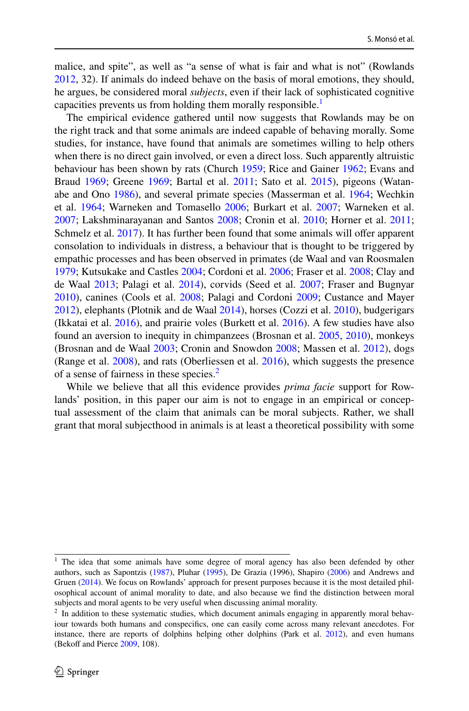malice, and spite", as well as "a sense of what is fair and what is not" (Rowlands [2012](#page-26-1), 32). If animals do indeed behave on the basis of moral emotions, they should, he argues, be considered moral *subjects*, even if their lack of sophisticated cognitive capacities prevents us from holding them morally responsible.<sup>1</sup>

The empirical evidence gathered until now suggests that Rowlands may be on the right track and that some animals are indeed capable of behaving morally. Some studies, for instance, have found that animals are sometimes willing to help others when there is no direct gain involved, or even a direct loss. Such apparently altruistic behaviour has been shown by rats (Church [1959](#page-23-0); Rice and Gainer [1962;](#page-26-4) Evans and Braud [1969](#page-24-0); Greene [1969;](#page-24-1) Bartal et al. [2011;](#page-22-0) Sato et al. [2015\)](#page-26-5), pigeons (Watanabe and Ono [1986](#page-27-0)), and several primate species (Masserman et al. [1964;](#page-25-1) Wechkin et al. [1964;](#page-27-1) Warneken and Tomasello [2006;](#page-27-2) Burkart et al. [2007;](#page-23-1) Warneken et al. [2007](#page-27-3); Lakshminarayanan and Santos [2008;](#page-25-2) Cronin et al. [2010](#page-23-2); Horner et al. [2011;](#page-25-3) Schmelz et al. [2017\)](#page-27-4). It has further been found that some animals will offer apparent consolation to individuals in distress, a behaviour that is thought to be triggered by empathic processes and has been observed in primates (de Waal and van Roosmalen [1979](#page-27-5); Kutsukake and Castles [2004;](#page-25-4) Cordoni et al. [2006;](#page-23-3) Fraser et al. [2008](#page-24-2); Clay and de Waal [2013](#page-23-4); Palagi et al. [2014\)](#page-26-6), corvids (Seed et al. [2007](#page-27-6); Fraser and Bugnyar [2010](#page-24-3)), canines (Cools et al. [2008;](#page-23-5) Palagi and Cordoni [2009;](#page-26-7) Custance and Mayer [2012](#page-24-4)), elephants (Plotnik and de Waal [2014\)](#page-26-8), horses (Cozzi et al. [2010\)](#page-23-6), budgerigars (Ikkatai et al. [2016\)](#page-25-5), and prairie voles (Burkett et al. [2016\)](#page-23-7). A few studies have also found an aversion to inequity in chimpanzees (Brosnan et al. [2005,](#page-23-8) [2010](#page-23-9)), monkeys (Brosnan and de Waal [2003;](#page-23-10) Cronin and Snowdon [2008](#page-23-11); Massen et al. [2012\)](#page-25-6), dogs (Range et al. [2008\)](#page-26-9), and rats (Oberliessen et al. [2016](#page-26-10)), which suggests the presence of a sense of fairness in these species.[2](#page-1-1)

While we believe that all this evidence provides *prima facie* support for Rowlands' position, in this paper our aim is not to engage in an empirical or conceptual assessment of the claim that animals can be moral subjects. Rather, we shall grant that moral subjecthood in animals is at least a theoretical possibility with some

<span id="page-1-0"></span><sup>&</sup>lt;sup>1</sup> The idea that some animals have some degree of moral agency has also been defended by other authors, such as Sapontzis [\(1987](#page-26-11)), Pluhar [\(1995](#page-26-12)), De Grazia (1996), Shapiro [\(2006](#page-27-7)) and Andrews and Gruen ([2014\)](#page-22-1). We focus on Rowlands' approach for present purposes because it is the most detailed philosophical account of animal morality to date, and also because we fnd the distinction between moral subjects and moral agents to be very useful when discussing animal morality.

<span id="page-1-1"></span> $2<sup>2</sup>$  In addition to these systematic studies, which document animals engaging in apparently moral behaviour towards both humans and conspecifcs, one can easily come across many relevant anecdotes. For instance, there are reports of dolphins helping other dolphins (Park et al. [2012](#page-26-13)), and even humans (Bekoff and Pierce [2009,](#page-23-12) 108).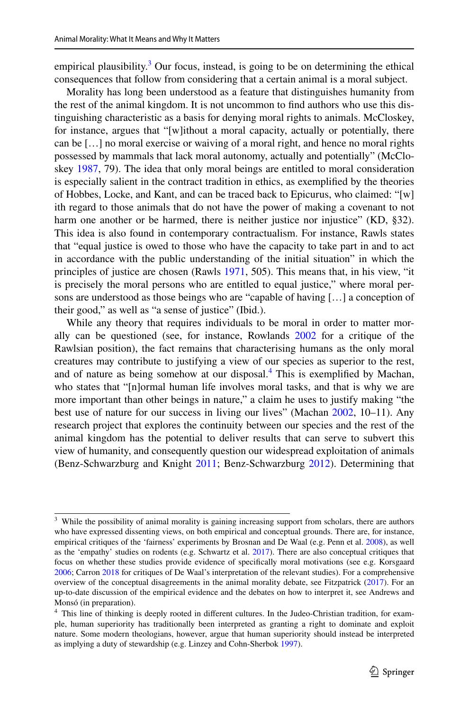empirical plausibility.<sup>[3](#page-2-0)</sup> Our focus, instead, is going to be on determining the ethical consequences that follow from considering that a certain animal is a moral subject.

Morality has long been understood as a feature that distinguishes humanity from the rest of the animal kingdom. It is not uncommon to fnd authors who use this distinguishing characteristic as a basis for denying moral rights to animals. McCloskey, for instance, argues that "[w]ithout a moral capacity, actually or potentially, there can be […] no moral exercise or waiving of a moral right, and hence no moral rights possessed by mammals that lack moral autonomy, actually and potentially" (McCloskey [1987](#page-25-7), 79). The idea that only moral beings are entitled to moral consideration is especially salient in the contract tradition in ethics, as exemplifed by the theories of Hobbes, Locke, and Kant, and can be traced back to Epicurus, who claimed: "[w] ith regard to those animals that do not have the power of making a covenant to not harm one another or be harmed, there is neither justice nor injustice" (KD, §32). This idea is also found in contemporary contractualism. For instance, Rawls states that "equal justice is owed to those who have the capacity to take part in and to act in accordance with the public understanding of the initial situation" in which the principles of justice are chosen (Rawls [1971](#page-26-14), 505). This means that, in his view, "it is precisely the moral persons who are entitled to equal justice," where moral persons are understood as those beings who are "capable of having […] a conception of their good," as well as "a sense of justice" (Ibid.).

While any theory that requires individuals to be moral in order to matter morally can be questioned (see, for instance, Rowlands [2002](#page-26-15) for a critique of the Rawlsian position), the fact remains that characterising humans as the only moral creatures may contribute to justifying a view of our species as superior to the rest, and of nature as being somehow at our disposal.[4](#page-2-1) This is exemplifed by Machan, who states that "[n]ormal human life involves moral tasks, and that is why we are more important than other beings in nature," a claim he uses to justify making "the best use of nature for our success in living our lives" (Machan [2002](#page-25-8), 10–11). Any research project that explores the continuity between our species and the rest of the animal kingdom has the potential to deliver results that can serve to subvert this view of humanity, and consequently question our widespread exploitation of animals (Benz-Schwarzburg and Knight [2011](#page-23-13); Benz-Schwarzburg [2012\)](#page-23-14). Determining that

<span id="page-2-0"></span><sup>&</sup>lt;sup>3</sup> While the possibility of animal morality is gaining increasing support from scholars, there are authors who have expressed dissenting views, on both empirical and conceptual grounds. There are, for instance, empirical critiques of the 'fairness' experiments by Brosnan and De Waal (e.g. Penn et al. [2008\)](#page-26-16), as well as the 'empathy' studies on rodents (e.g. Schwartz et al. [2017\)](#page-27-8). There are also conceptual critiques that focus on whether these studies provide evidence of specifcally moral motivations (see e.g. Korsgaard [2006](#page-25-9); Carron [2018](#page-23-15) for critiques of De Waal's interpretation of the relevant studies). For a comprehensive overview of the conceptual disagreements in the animal morality debate, see Fitzpatrick ([2017\)](#page-24-5). For an up-to-date discussion of the empirical evidence and the debates on how to interpret it, see Andrews and Monsó (in preparation).

<span id="page-2-1"></span><sup>&</sup>lt;sup>4</sup> This line of thinking is deeply rooted in different cultures. In the Judeo-Christian tradition, for example, human superiority has traditionally been interpreted as granting a right to dominate and exploit nature. Some modern theologians, however, argue that human superiority should instead be interpreted as implying a duty of stewardship (e.g. Linzey and Cohn-Sherbok [1997](#page-25-10)).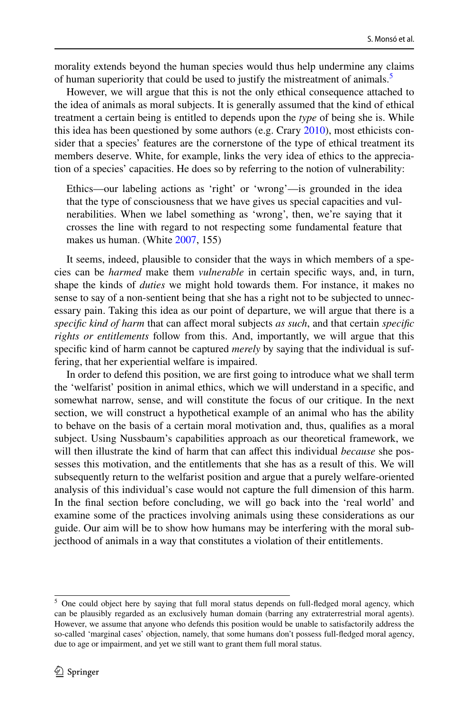morality extends beyond the human species would thus help undermine any claims of human superiority that could be used to justify the mistreatment of animals.<sup>[5](#page-3-0)</sup>

However, we will argue that this is not the only ethical consequence attached to the idea of animals as moral subjects. It is generally assumed that the kind of ethical treatment a certain being is entitled to depends upon the *type* of being she is. While this idea has been questioned by some authors (e.g. Crary [2010\)](#page-23-16), most ethicists consider that a species' features are the cornerstone of the type of ethical treatment its members deserve. White, for example, links the very idea of ethics to the appreciation of a species' capacities. He does so by referring to the notion of vulnerability:

Ethics—our labeling actions as 'right' or 'wrong'—is grounded in the idea that the type of consciousness that we have gives us special capacities and vulnerabilities. When we label something as 'wrong', then, we're saying that it crosses the line with regard to not respecting some fundamental feature that makes us human. (White [2007](#page-27-9), 155)

It seems, indeed, plausible to consider that the ways in which members of a species can be *harmed* make them *vulnerable* in certain specifc ways, and, in turn, shape the kinds of *duties* we might hold towards them. For instance, it makes no sense to say of a non-sentient being that she has a right not to be subjected to unnecessary pain. Taking this idea as our point of departure, we will argue that there is a *specifc kind of harm* that can afect moral subjects *as such*, and that certain *specifc rights or entitlements* follow from this. And, importantly, we will argue that this specifc kind of harm cannot be captured *merely* by saying that the individual is suffering, that her experiential welfare is impaired.

In order to defend this position, we are frst going to introduce what we shall term the 'welfarist' position in animal ethics, which we will understand in a specifc, and somewhat narrow, sense, and will constitute the focus of our critique. In the next section, we will construct a hypothetical example of an animal who has the ability to behave on the basis of a certain moral motivation and, thus, qualifes as a moral subject. Using Nussbaum's capabilities approach as our theoretical framework, we will then illustrate the kind of harm that can afect this individual *because* she possesses this motivation, and the entitlements that she has as a result of this. We will subsequently return to the welfarist position and argue that a purely welfare-oriented analysis of this individual's case would not capture the full dimension of this harm. In the fnal section before concluding, we will go back into the 'real world' and examine some of the practices involving animals using these considerations as our guide. Our aim will be to show how humans may be interfering with the moral subjecthood of animals in a way that constitutes a violation of their entitlements.

<span id="page-3-0"></span><sup>&</sup>lt;sup>5</sup> One could object here by saying that full moral status depends on full-fledged moral agency, which can be plausibly regarded as an exclusively human domain (barring any extraterrestrial moral agents). However, we assume that anyone who defends this position would be unable to satisfactorily address the so-called 'marginal cases' objection, namely, that some humans don't possess full-fedged moral agency, due to age or impairment, and yet we still want to grant them full moral status.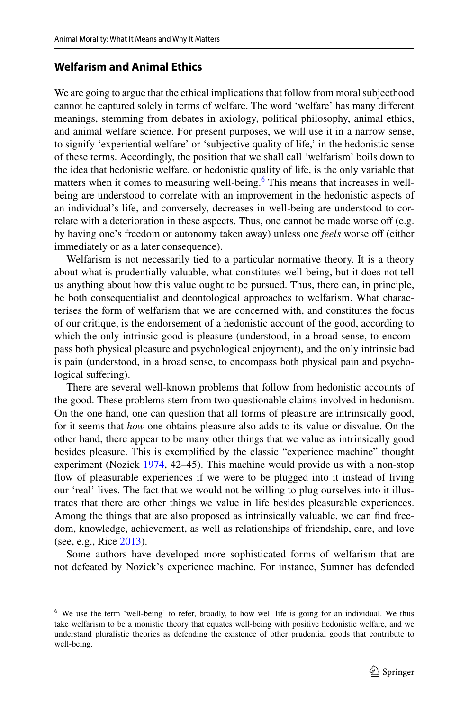# **Welfarism and Animal Ethics**

We are going to argue that the ethical implications that follow from moral subjecthood cannot be captured solely in terms of welfare. The word 'welfare' has many diferent meanings, stemming from debates in axiology, political philosophy, animal ethics, and animal welfare science. For present purposes, we will use it in a narrow sense, to signify 'experiential welfare' or 'subjective quality of life,' in the hedonistic sense of these terms. Accordingly, the position that we shall call 'welfarism' boils down to the idea that hedonistic welfare, or hedonistic quality of life, is the only variable that matters when it comes to measuring well-being.<sup>[6](#page-4-0)</sup> This means that increases in wellbeing are understood to correlate with an improvement in the hedonistic aspects of an individual's life, and conversely, decreases in well-being are understood to correlate with a deterioration in these aspects. Thus, one cannot be made worse off (e.g. by having one's freedom or autonomy taken away) unless one *feels* worse off (either immediately or as a later consequence).

Welfarism is not necessarily tied to a particular normative theory. It is a theory about what is prudentially valuable, what constitutes well-being, but it does not tell us anything about how this value ought to be pursued. Thus, there can, in principle, be both consequentialist and deontological approaches to welfarism. What characterises the form of welfarism that we are concerned with, and constitutes the focus of our critique, is the endorsement of a hedonistic account of the good, according to which the only intrinsic good is pleasure (understood, in a broad sense, to encompass both physical pleasure and psychological enjoyment), and the only intrinsic bad is pain (understood, in a broad sense, to encompass both physical pain and psychological suffering).

There are several well-known problems that follow from hedonistic accounts of the good. These problems stem from two questionable claims involved in hedonism. On the one hand, one can question that all forms of pleasure are intrinsically good, for it seems that *how* one obtains pleasure also adds to its value or disvalue. On the other hand, there appear to be many other things that we value as intrinsically good besides pleasure. This is exemplifed by the classic "experience machine" thought experiment (Nozick [1974](#page-25-11), 42–45). This machine would provide us with a non-stop flow of pleasurable experiences if we were to be plugged into it instead of living our 'real' lives. The fact that we would not be willing to plug ourselves into it illustrates that there are other things we value in life besides pleasurable experiences. Among the things that are also proposed as intrinsically valuable, we can fnd freedom, knowledge, achievement, as well as relationships of friendship, care, and love (see, e.g., Rice [2013](#page-26-17)).

Some authors have developed more sophisticated forms of welfarism that are not defeated by Nozick's experience machine. For instance, Sumner has defended

<span id="page-4-0"></span><sup>6</sup> We use the term 'well-being' to refer, broadly, to how well life is going for an individual. We thus take welfarism to be a monistic theory that equates well-being with positive hedonistic welfare, and we understand pluralistic theories as defending the existence of other prudential goods that contribute to well-being.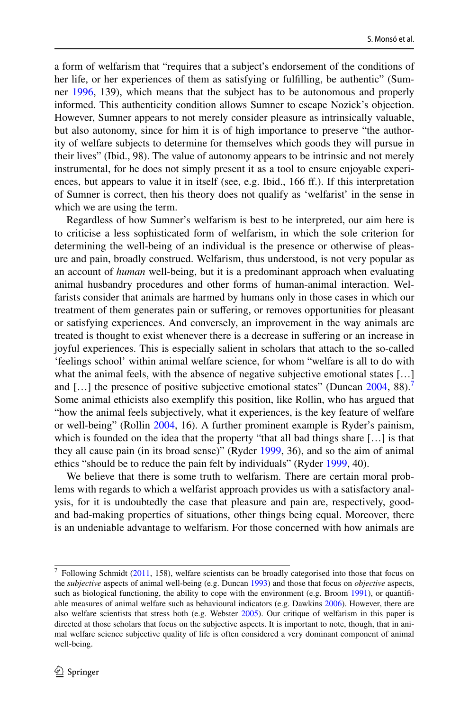a form of welfarism that "requires that a subject's endorsement of the conditions of her life, or her experiences of them as satisfying or fulflling, be authentic" (Sumner [1996,](#page-27-10) 139), which means that the subject has to be autonomous and properly informed. This authenticity condition allows Sumner to escape Nozick's objection. However, Sumner appears to not merely consider pleasure as intrinsically valuable, but also autonomy, since for him it is of high importance to preserve "the authority of welfare subjects to determine for themselves which goods they will pursue in their lives" (Ibid., 98). The value of autonomy appears to be intrinsic and not merely instrumental, for he does not simply present it as a tool to ensure enjoyable experiences, but appears to value it in itself (see, e.g. Ibid., 166 ff.). If this interpretation of Sumner is correct, then his theory does not qualify as 'welfarist' in the sense in which we are using the term.

Regardless of how Sumner's welfarism is best to be interpreted, our aim here is to criticise a less sophisticated form of welfarism, in which the sole criterion for determining the well-being of an individual is the presence or otherwise of pleasure and pain, broadly construed. Welfarism, thus understood, is not very popular as an account of *human* well-being, but it is a predominant approach when evaluating animal husbandry procedures and other forms of human-animal interaction. Welfarists consider that animals are harmed by humans only in those cases in which our treatment of them generates pain or sufering, or removes opportunities for pleasant or satisfying experiences. And conversely, an improvement in the way animals are treated is thought to exist whenever there is a decrease in sufering or an increase in joyful experiences. This is especially salient in scholars that attach to the so-called 'feelings school' within animal welfare science, for whom "welfare is all to do with what the animal feels, with the absence of negative subjective emotional states [...] and [...] the presence of positive subjective emotional states" (Duncan  $2004$ , 88).<sup>[7](#page-5-0)</sup> Some animal ethicists also exemplify this position, like Rollin, who has argued that "how the animal feels subjectively, what it experiences, is the key feature of welfare or well-being" (Rollin [2004,](#page-26-18) 16). A further prominent example is Ryder's painism, which is founded on the idea that the property "that all bad things share […] is that they all cause pain (in its broad sense)" (Ryder [1999,](#page-26-19) 36), and so the aim of animal ethics "should be to reduce the pain felt by individuals" (Ryder [1999](#page-26-19), 40).

We believe that there is some truth to welfarism. There are certain moral problems with regards to which a welfarist approach provides us with a satisfactory analysis, for it is undoubtedly the case that pleasure and pain are, respectively, goodand bad-making properties of situations, other things being equal. Moreover, there is an undeniable advantage to welfarism. For those concerned with how animals are

<span id="page-5-0"></span> $<sup>7</sup>$  Following Schmidt ([2011,](#page-27-11) 158), welfare scientists can be broadly categorised into those that focus on</sup> the *subjective* aspects of animal well-being (e.g. Duncan [1993\)](#page-24-7) and those that focus on *objective* aspects, such as biological functioning, the ability to cope with the environment (e.g. Broom [1991\)](#page-23-17), or quantifiable measures of animal welfare such as behavioural indicators (e.g. Dawkins [2006](#page-24-8)). However, there are also welfare scientists that stress both (e.g. Webster [2005](#page-27-12)). Our critique of welfarism in this paper is directed at those scholars that focus on the subjective aspects. It is important to note, though, that in animal welfare science subjective quality of life is often considered a very dominant component of animal well-being.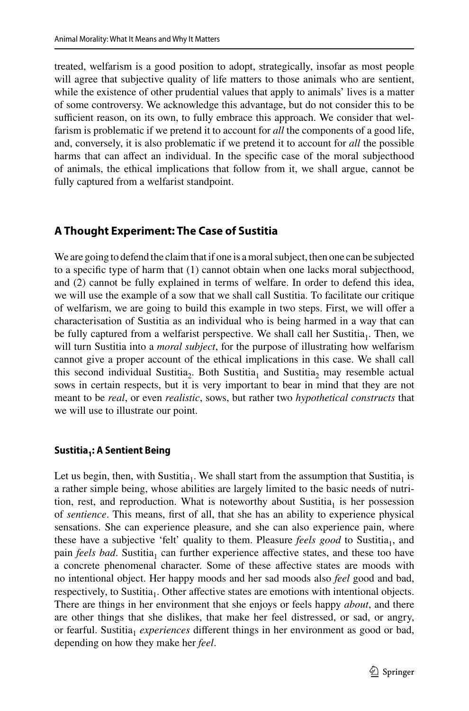treated, welfarism is a good position to adopt, strategically, insofar as most people will agree that subjective quality of life matters to those animals who are sentient, while the existence of other prudential values that apply to animals' lives is a matter of some controversy. We acknowledge this advantage, but do not consider this to be sufficient reason, on its own, to fully embrace this approach. We consider that welfarism is problematic if we pretend it to account for *all* the components of a good life, and, conversely, it is also problematic if we pretend it to account for *all* the possible harms that can afect an individual. In the specifc case of the moral subjecthood of animals, the ethical implications that follow from it, we shall argue, cannot be fully captured from a welfarist standpoint.

## **A Thought Experiment: The Case of Sustitia**

We are going to defend the claim that if one is a moral subject, then one can be subjected to a specifc type of harm that (1) cannot obtain when one lacks moral subjecthood, and (2) cannot be fully explained in terms of welfare. In order to defend this idea, we will use the example of a sow that we shall call Sustitia. To facilitate our critique of welfarism, we are going to build this example in two steps. First, we will offer a characterisation of Sustitia as an individual who is being harmed in a way that can be fully captured from a welfarist perspective. We shall call her Sustitia<sub>1</sub>. Then, we will turn Sustitia into a *moral subject*, for the purpose of illustrating how welfarism cannot give a proper account of the ethical implications in this case. We shall call this second individual Sustitia<sub>2</sub>. Both Sustitia<sub>1</sub> and Sustitia<sub>2</sub> may resemble actual sows in certain respects, but it is very important to bear in mind that they are not meant to be *real*, or even *realistic*, sows, but rather two *hypothetical constructs* that we will use to illustrate our point.

#### **Sustitia1: A Sentient Being**

Let us begin, then, with Sustitia<sub>1</sub>. We shall start from the assumption that Sustitia<sub>1</sub> is a rather simple being, whose abilities are largely limited to the basic needs of nutrition, rest, and reproduction. What is noteworthy about Sustitia<sub>1</sub> is her possession of *sentience*. This means, frst of all, that she has an ability to experience physical sensations. She can experience pleasure, and she can also experience pain, where these have a subjective 'felt' quality to them. Pleasure *feels good* to Sustitia<sub>1</sub>, and pain *feels bad*. Sustitia<sub>1</sub> can further experience affective states, and these too have a concrete phenomenal character. Some of these afective states are moods with no intentional object. Her happy moods and her sad moods also *feel* good and bad, respectively, to Sustitia<sub>1</sub>. Other affective states are emotions with intentional objects. There are things in her environment that she enjoys or feels happy *about*, and there are other things that she dislikes, that make her feel distressed, or sad, or angry, or fearful. Sustitia<sub>1</sub> experiences different things in her environment as good or bad, depending on how they make her *feel*.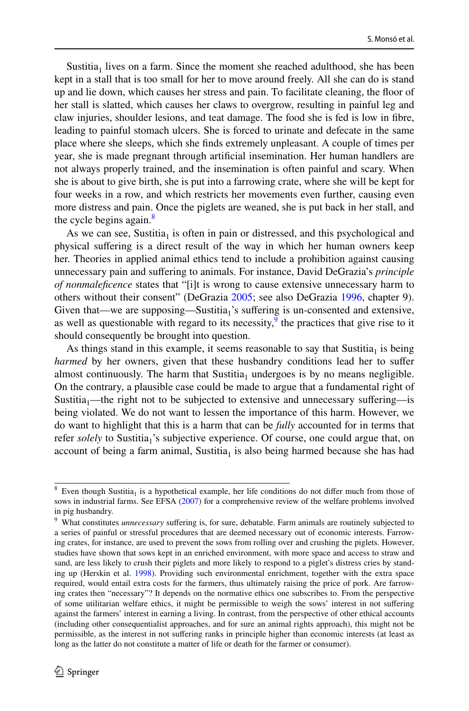Sustitia<sub>1</sub> lives on a farm. Since the moment she reached adulthood, she has been kept in a stall that is too small for her to move around freely. All she can do is stand up and lie down, which causes her stress and pain. To facilitate cleaning, the foor of her stall is slatted, which causes her claws to overgrow, resulting in painful leg and claw injuries, shoulder lesions, and teat damage. The food she is fed is low in fbre, leading to painful stomach ulcers. She is forced to urinate and defecate in the same place where she sleeps, which she fnds extremely unpleasant. A couple of times per year, she is made pregnant through artifcial insemination. Her human handlers are not always properly trained, and the insemination is often painful and scary. When she is about to give birth, she is put into a farrowing crate, where she will be kept for four weeks in a row, and which restricts her movements even further, causing even more distress and pain. Once the piglets are weaned, she is put back in her stall, and the cycle begins again. $\frac{8}{3}$  $\frac{8}{3}$  $\frac{8}{3}$ 

As we can see, Sustitia<sub>1</sub> is often in pain or distressed, and this psychological and physical sufering is a direct result of the way in which her human owners keep her. Theories in applied animal ethics tend to include a prohibition against causing unnecessary pain and sufering to animals. For instance, David DeGrazia's *principle of nonmalefcence* states that "[i]t is wrong to cause extensive unnecessary harm to others without their consent" (DeGrazia [2005;](#page-24-9) see also DeGrazia [1996](#page-24-10), chapter 9). Given that—we are supposing—Sustitia<sub>1</sub>'s suffering is un-consented and extensive, as well as questionable with regard to its necessity, $9$  the practices that give rise to it should consequently be brought into question.

As things stand in this example, it seems reasonable to say that Sustitia<sub>1</sub> is being *harmed* by her owners, given that these husbandry conditions lead her to suffer almost continuously. The harm that Sustitia<sub>1</sub> undergoes is by no means negligible. On the contrary, a plausible case could be made to argue that a fundamental right of Sustitia<sub>1</sub>—the right not to be subjected to extensive and unnecessary suffering—is being violated. We do not want to lessen the importance of this harm. However, we do want to highlight that this is a harm that can be *fully* accounted for in terms that refer *solely* to Sustitia<sub>1</sub>'s subjective experience. Of course, one could argue that, on account of being a farm animal, Sustitia<sub>1</sub> is also being harmed because she has had

<span id="page-7-0"></span> $8$  Even though Sustitia<sub>1</sub> is a hypothetical example, her life conditions do not differ much from those of sows in industrial farms. See EFSA [\(2007](#page-24-11)) for a comprehensive review of the welfare problems involved in pig husbandry.

<span id="page-7-1"></span><sup>&</sup>lt;sup>9</sup> What constitutes *unnecessary* suffering is, for sure, debatable. Farm animals are routinely subjected to a series of painful or stressful procedures that are deemed necessary out of economic interests. Farrowing crates, for instance, are used to prevent the sows from rolling over and crushing the piglets. However, studies have shown that sows kept in an enriched environment, with more space and access to straw and sand, are less likely to crush their piglets and more likely to respond to a piglet's distress cries by standing up (Herskin et al. [1998](#page-25-12)). Providing such environmental enrichment, together with the extra space required, would entail extra costs for the farmers, thus ultimately raising the price of pork. Are farrowing crates then "necessary"? It depends on the normative ethics one subscribes to. From the perspective of some utilitarian welfare ethics, it might be permissible to weigh the sows' interest in not sufering against the farmers' interest in earning a living. In contrast, from the perspective of other ethical accounts (including other consequentialist approaches, and for sure an animal rights approach), this might not be permissible, as the interest in not sufering ranks in principle higher than economic interests (at least as long as the latter do not constitute a matter of life or death for the farmer or consumer).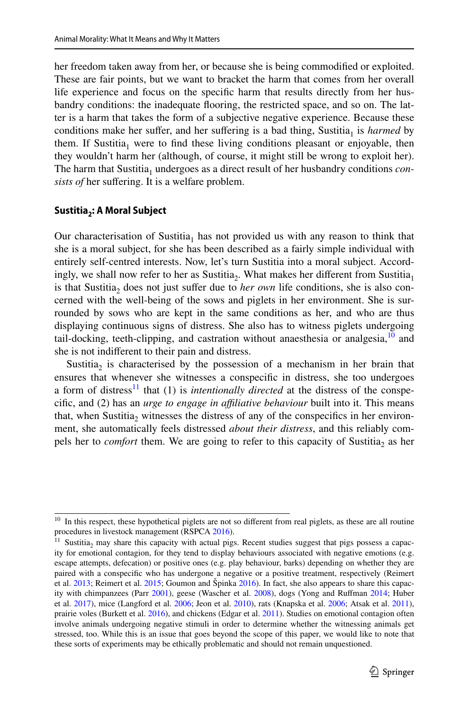her freedom taken away from her, or because she is being commodifed or exploited. These are fair points, but we want to bracket the harm that comes from her overall life experience and focus on the specifc harm that results directly from her husbandry conditions: the inadequate fooring, the restricted space, and so on. The latter is a harm that takes the form of a subjective negative experience. Because these conditions make her suffer, and her suffering is a bad thing, Sustitia<sub>1</sub> is *harmed* by them. If Sustitia<sub>1</sub> were to find these living conditions pleasant or enjoyable, then they wouldn't harm her (although, of course, it might still be wrong to exploit her). The harm that Sustitia<sub>1</sub> undergoes as a direct result of her husbandry conditions *consists of* her sufering. It is a welfare problem.

#### **Sustitia2: A Moral Subject**

Our characterisation of Sustitia<sub>1</sub> has not provided us with any reason to think that she is a moral subject, for she has been described as a fairly simple individual with entirely self-centred interests. Now, let's turn Sustitia into a moral subject. Accordingly, we shall now refer to her as Sustitia<sub>2</sub>. What makes her different from Sustitia<sub>1</sub> is that Sustitia<sub>2</sub> does not just suffer due to *her own* life conditions, she is also concerned with the well-being of the sows and piglets in her environment. She is surrounded by sows who are kept in the same conditions as her, and who are thus displaying continuous signs of distress. She also has to witness piglets undergoing tail-docking, teeth-clipping, and castration without anaesthesia or analgesia,<sup>10</sup> and she is not indiferent to their pain and distress.

Sustitia<sub>2</sub> is characterised by the possession of a mechanism in her brain that ensures that whenever she witnesses a conspecifc in distress, she too undergoes a form of distress<sup>11</sup> that (1) is *intentionally directed* at the distress of the conspecifc, and (2) has an *urge to engage in afliative behaviour* built into it. This means that, when Sustitia, witnesses the distress of any of the conspecifics in her environment, she automatically feels distressed *about their distress*, and this reliably compels her to *comfort* them. We are going to refer to this capacity of Sustitia<sub>2</sub> as her

<span id="page-8-0"></span><sup>&</sup>lt;sup>10</sup> In this respect, these hypothetical piglets are not so different from real piglets, as these are all routine procedures in livestock management (RSPCA [2016](#page-26-20)).

<span id="page-8-1"></span><sup>&</sup>lt;sup>11</sup> Sustitia<sub>2</sub> may share this capacity with actual pigs. Recent studies suggest that pigs possess a capacity for emotional contagion, for they tend to display behaviours associated with negative emotions (e.g. escape attempts, defecation) or positive ones (e.g. play behaviour, barks) depending on whether they are paired with a conspecifc who has undergone a negative or a positive treatment, respectively (Reimert et al. [2013;](#page-26-21) Reimert et al. [2015](#page-26-22); Goumon and Špinka [2016\)](#page-24-12). In fact, she also appears to share this capacity with chimpanzees (Parr [2001](#page-26-23)), geese (Wascher et al. [2008](#page-27-13)), dogs (Yong and Rufman [2014](#page-27-14); Huber et al. [2017](#page-25-13)), mice (Langford et al. [2006](#page-25-14); Jeon et al. [2010](#page-25-15)), rats (Knapska et al. [2006;](#page-25-16) Atsak et al. [2011\)](#page-22-2), prairie voles (Burkett et al. [2016\)](#page-23-7), and chickens (Edgar et al. [2011\)](#page-24-13). Studies on emotional contagion often involve animals undergoing negative stimuli in order to determine whether the witnessing animals get stressed, too. While this is an issue that goes beyond the scope of this paper, we would like to note that these sorts of experiments may be ethically problematic and should not remain unquestioned.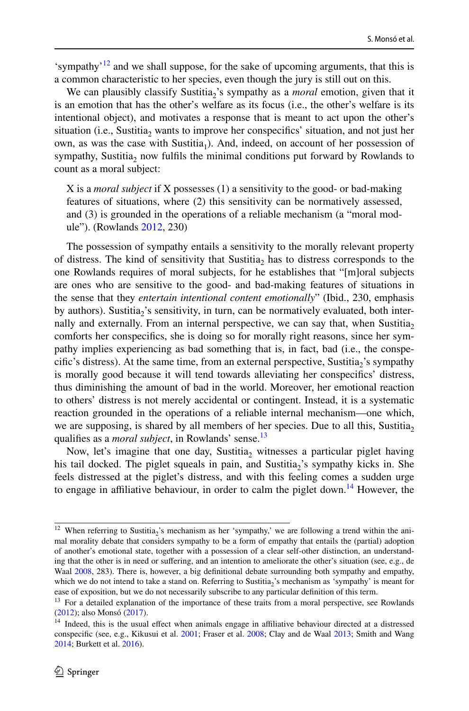'sympathy'<sup>12</sup> and we shall suppose, for the sake of upcoming arguments, that this is a common characteristic to her species, even though the jury is still out on this.

We can plausibly classify Sustitia<sub>2</sub>'s sympathy as a *moral* emotion, given that it is an emotion that has the other's welfare as its focus (i.e., the other's welfare is its intentional object), and motivates a response that is meant to act upon the other's situation (i.e., Sustitia, wants to improve her conspecifics' situation, and not just her  $own$ , as was the case with Sustitia<sub>1</sub>). And, indeed, on account of her possession of sympathy, Sustitia, now fulfils the minimal conditions put forward by Rowlands to count as a moral subject:

X is a *moral subject* if X possesses (1) a sensitivity to the good- or bad-making features of situations, where (2) this sensitivity can be normatively assessed, and (3) is grounded in the operations of a reliable mechanism (a "moral module"). (Rowlands [2012](#page-26-1), 230)

The possession of sympathy entails a sensitivity to the morally relevant property of distress. The kind of sensitivity that Sustitia<sub>2</sub> has to distress corresponds to the one Rowlands requires of moral subjects, for he establishes that "[m]oral subjects are ones who are sensitive to the good- and bad-making features of situations in the sense that they *entertain intentional content emotionally*" (Ibid., 230, emphasis by authors). Sustitia<sub>2</sub>'s sensitivity, in turn, can be normatively evaluated, both internally and externally. From an internal perspective, we can say that, when Sustitia<sub>2</sub> comforts her conspecifcs, she is doing so for morally right reasons, since her sympathy implies experiencing as bad something that is, in fact, bad (i.e., the conspecific's distress). At the same time, from an external perspective, Sustitia<sub>2</sub>'s sympathy is morally good because it will tend towards alleviating her conspecifcs' distress, thus diminishing the amount of bad in the world. Moreover, her emotional reaction to others' distress is not merely accidental or contingent. Instead, it is a systematic reaction grounded in the operations of a reliable internal mechanism—one which, we are supposing, is shared by all members of her species. Due to all this, Sustitia<sub>2</sub> qualifes as a *moral subject*, in Rowlands' sense.[13](#page-9-1)

Now, let's imagine that one day, Sustitia<sub>2</sub> witnesses a particular piglet having his tail docked. The piglet squeals in pain, and Sustitia<sub>2</sub>'s sympathy kicks in. She feels distressed at the piglet's distress, and with this feeling comes a sudden urge to engage in affiliative behaviour, in order to calm the piglet down.<sup>14</sup> However, the

<span id="page-9-0"></span> $12$  When referring to Sustitia<sub>2</sub>'s mechanism as her 'sympathy,' we are following a trend within the animal morality debate that considers sympathy to be a form of empathy that entails the (partial) adoption of another's emotional state, together with a possession of a clear self-other distinction, an understanding that the other is in need or sufering, and an intention to ameliorate the other's situation (see, e.g., de Waal [2008,](#page-27-15) 283). There is, however, a big definitional debate surrounding both sympathy and empathy, which we do not intend to take a stand on. Referring to Sustitia<sub>2</sub>'s mechanism as 'sympathy' is meant for ease of exposition, but we do not necessarily subscribe to any particular defnition of this term.

<span id="page-9-1"></span><sup>&</sup>lt;sup>13</sup> For a detailed explanation of the importance of these traits from a moral perspective, see Rowlands ([2012\)](#page-26-1); also Monsó [\(2017](#page-25-17)).

<span id="page-9-2"></span><sup>&</sup>lt;sup>14</sup> Indeed, this is the usual effect when animals engage in affiliative behaviour directed at a distressed conspecific (see, e.g., Kikusui et al. [2001;](#page-25-18) Fraser et al. [2008;](#page-24-2) Clay and de Waal [2013](#page-23-4); Smith and Wang [2014](#page-27-16); Burkett et al. [2016](#page-23-7)).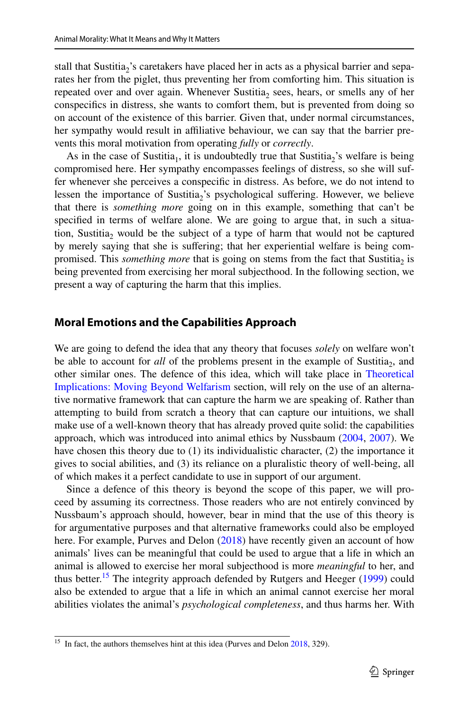stall that Sustitia<sub>2</sub>'s caretakers have placed her in acts as a physical barrier and separates her from the piglet, thus preventing her from comforting him. This situation is repeated over and over again. Whenever Sustitia<sub>2</sub> sees, hears, or smells any of her conspecifcs in distress, she wants to comfort them, but is prevented from doing so on account of the existence of this barrier. Given that, under normal circumstances, her sympathy would result in affiliative behaviour, we can say that the barrier prevents this moral motivation from operating *fully* or *correctly*.

As in the case of Sustitia<sub>1</sub>, it is undoubtedly true that Sustitia<sub>2</sub>'s welfare is being compromised here. Her sympathy encompasses feelings of distress, so she will suffer whenever she perceives a conspecifc in distress. As before, we do not intend to lessen the importance of Sustitia<sub>2</sub>'s psychological suffering. However, we believe that there is *something more* going on in this example, something that can't be specifed in terms of welfare alone. We are going to argue that, in such a situation, Sustitia<sub>2</sub> would be the subject of a type of harm that would not be captured by merely saying that she is sufering; that her experiential welfare is being compromised. This *something more* that is going on stems from the fact that Sustitia<sub>2</sub> is being prevented from exercising her moral subjecthood. In the following section, we present a way of capturing the harm that this implies.

# **Moral Emotions and the Capabilities Approach**

We are going to defend the idea that any theory that focuses *solely* on welfare won't be able to account for *all* of the problems present in the example of Sustitia<sub>2</sub>, and other similar ones. The defence of this idea, which will take place in [Theoretical](#page-13-0) [Implications: Moving Beyond Welfarism](#page-13-0) section, will rely on the use of an alternative normative framework that can capture the harm we are speaking of. Rather than attempting to build from scratch a theory that can capture our intuitions, we shall make use of a well-known theory that has already proved quite solid: the capabilities approach, which was introduced into animal ethics by Nussbaum ([2004,](#page-26-3) [2007](#page-25-0)). We have chosen this theory due to (1) its individualistic character, (2) the importance it gives to social abilities, and (3) its reliance on a pluralistic theory of well-being, all of which makes it a perfect candidate to use in support of our argument.

Since a defence of this theory is beyond the scope of this paper, we will proceed by assuming its correctness. Those readers who are not entirely convinced by Nussbaum's approach should, however, bear in mind that the use of this theory is for argumentative purposes and that alternative frameworks could also be employed here. For example, Purves and Delon [\(2018](#page-26-24)) have recently given an account of how animals' lives can be meaningful that could be used to argue that a life in which an animal is allowed to exercise her moral subjecthood is more *meaningful* to her, and thus better.<sup>15</sup> The integrity approach defended by Rutgers and Heeger ([1999\)](#page-26-25) could also be extended to argue that a life in which an animal cannot exercise her moral abilities violates the animal's *psychological completeness*, and thus harms her. With

<span id="page-10-0"></span><sup>&</sup>lt;sup>15</sup> In fact, the authors themselves hint at this idea (Purves and Delon [2018](#page-26-24), 329).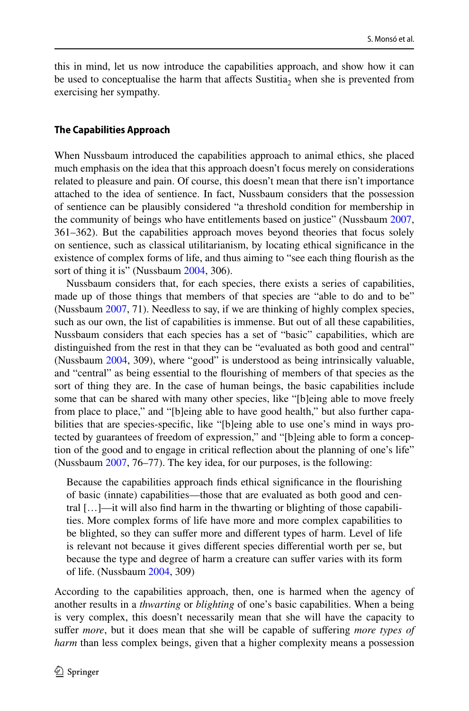this in mind, let us now introduce the capabilities approach, and show how it can be used to conceptualise the harm that affects Sustitia, when she is prevented from exercising her sympathy.

#### **The Capabilities Approach**

When Nussbaum introduced the capabilities approach to animal ethics, she placed much emphasis on the idea that this approach doesn't focus merely on considerations related to pleasure and pain. Of course, this doesn't mean that there isn't importance attached to the idea of sentience. In fact, Nussbaum considers that the possession of sentience can be plausibly considered "a threshold condition for membership in the community of beings who have entitlements based on justice" (Nussbaum [2007,](#page-25-0) 361–362). But the capabilities approach moves beyond theories that focus solely on sentience, such as classical utilitarianism, by locating ethical signifcance in the existence of complex forms of life, and thus aiming to "see each thing fourish as the sort of thing it is" (Nussbaum [2004](#page-26-3), 306).

Nussbaum considers that, for each species, there exists a series of capabilities, made up of those things that members of that species are "able to do and to be" (Nussbaum [2007,](#page-25-0) 71). Needless to say, if we are thinking of highly complex species, such as our own, the list of capabilities is immense. But out of all these capabilities, Nussbaum considers that each species has a set of "basic" capabilities, which are distinguished from the rest in that they can be "evaluated as both good and central" (Nussbaum [2004](#page-26-3), 309), where "good" is understood as being intrinsically valuable, and "central" as being essential to the fourishing of members of that species as the sort of thing they are. In the case of human beings, the basic capabilities include some that can be shared with many other species, like "[b]eing able to move freely from place to place," and "[b]eing able to have good health," but also further capabilities that are species-specifc, like "[b]eing able to use one's mind in ways protected by guarantees of freedom of expression," and "[b]eing able to form a conception of the good and to engage in critical refection about the planning of one's life" (Nussbaum [2007,](#page-25-0) 76–77). The key idea, for our purposes, is the following:

Because the capabilities approach fnds ethical signifcance in the fourishing of basic (innate) capabilities—those that are evaluated as both good and central […]—it will also fnd harm in the thwarting or blighting of those capabilities. More complex forms of life have more and more complex capabilities to be blighted, so they can suffer more and different types of harm. Level of life is relevant not because it gives diferent species diferential worth per se, but because the type and degree of harm a creature can suffer varies with its form of life. (Nussbaum [2004](#page-26-3), 309)

According to the capabilities approach, then, one is harmed when the agency of another results in a *thwarting* or *blighting* of one's basic capabilities. When a being is very complex, this doesn't necessarily mean that she will have the capacity to sufer *more*, but it does mean that she will be capable of sufering *more types of harm* than less complex beings, given that a higher complexity means a possession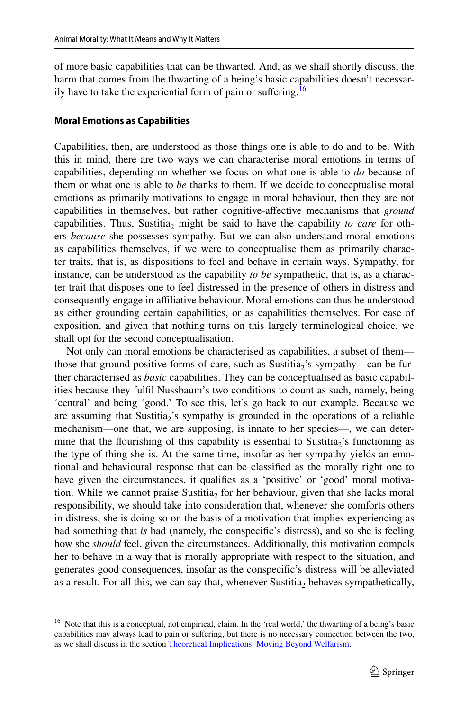of more basic capabilities that can be thwarted. And, as we shall shortly discuss, the harm that comes from the thwarting of a being's basic capabilities doesn't necessar-ily have to take the experiential form of pain or suffering.<sup>[16](#page-12-0)</sup>

### **Moral Emotions as Capabilities**

Capabilities, then, are understood as those things one is able to do and to be. With this in mind, there are two ways we can characterise moral emotions in terms of capabilities, depending on whether we focus on what one is able to *do* because of them or what one is able to *be* thanks to them. If we decide to conceptualise moral emotions as primarily motivations to engage in moral behaviour, then they are not capabilities in themselves, but rather cognitive-afective mechanisms that *ground* capabilities. Thus, Sustitia<sub>2</sub> might be said to have the capability *to care* for others *because* she possesses sympathy. But we can also understand moral emotions as capabilities themselves, if we were to conceptualise them as primarily character traits, that is, as dispositions to feel and behave in certain ways. Sympathy, for instance, can be understood as the capability *to be* sympathetic, that is, as a character trait that disposes one to feel distressed in the presence of others in distress and consequently engage in afliative behaviour. Moral emotions can thus be understood as either grounding certain capabilities, or as capabilities themselves. For ease of exposition, and given that nothing turns on this largely terminological choice, we shall opt for the second conceptualisation.

Not only can moral emotions be characterised as capabilities, a subset of them those that ground positive forms of care, such as Sustitia<sub>2</sub>'s sympathy—can be further characterised as *basic* capabilities. They can be conceptualised as basic capabilities because they fulfl Nussbaum's two conditions to count as such, namely, being 'central' and being 'good.' To see this, let's go back to our example. Because we are assuming that Sustitia<sub>2</sub>'s sympathy is grounded in the operations of a reliable mechanism—one that, we are supposing, is innate to her species—, we can determine that the flourishing of this capability is essential to Sustitia<sub>2</sub>'s functioning as the type of thing she is. At the same time, insofar as her sympathy yields an emotional and behavioural response that can be classifed as the morally right one to have given the circumstances, it qualifes as a 'positive' or 'good' moral motivation. While we cannot praise Sustitia, for her behaviour, given that she lacks moral responsibility, we should take into consideration that, whenever she comforts others in distress, she is doing so on the basis of a motivation that implies experiencing as bad something that *is* bad (namely, the conspecifc's distress), and so she is feeling how she *should* feel, given the circumstances. Additionally, this motivation compels her to behave in a way that is morally appropriate with respect to the situation, and generates good consequences, insofar as the conspecifc's distress will be alleviated as a result. For all this, we can say that, whenever Sustitia, behaves sympathetically,

<span id="page-12-0"></span><sup>16</sup> Note that this is a conceptual, not empirical, claim. In the 'real world,' the thwarting of a being's basic capabilities may always lead to pain or sufering, but there is no necessary connection between the two, as we shall discuss in the section [Theoretical Implications: Moving Beyond Welfarism](#page-13-0).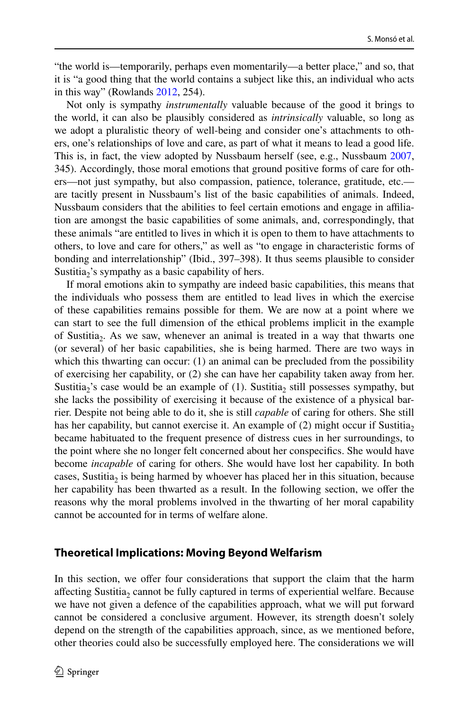"the world is—temporarily, perhaps even momentarily—a better place," and so, that it is "a good thing that the world contains a subject like this, an individual who acts in this way" (Rowlands [2012](#page-26-1), 254).

Not only is sympathy *instrumentally* valuable because of the good it brings to the world, it can also be plausibly considered as *intrinsically* valuable, so long as we adopt a pluralistic theory of well-being and consider one's attachments to others, one's relationships of love and care, as part of what it means to lead a good life. This is, in fact, the view adopted by Nussbaum herself (see, e.g., Nussbaum [2007,](#page-25-0) 345). Accordingly, those moral emotions that ground positive forms of care for others—not just sympathy, but also compassion, patience, tolerance, gratitude, etc. are tacitly present in Nussbaum's list of the basic capabilities of animals. Indeed, Nussbaum considers that the abilities to feel certain emotions and engage in afliation are amongst the basic capabilities of some animals, and, correspondingly, that these animals "are entitled to lives in which it is open to them to have attachments to others, to love and care for others," as well as "to engage in characteristic forms of bonding and interrelationship" (Ibid., 397–398). It thus seems plausible to consider Sustitia<sub>2</sub>'s sympathy as a basic capability of hers.

If moral emotions akin to sympathy are indeed basic capabilities, this means that the individuals who possess them are entitled to lead lives in which the exercise of these capabilities remains possible for them. We are now at a point where we can start to see the full dimension of the ethical problems implicit in the example of Sustitia<sub>2</sub>. As we saw, whenever an animal is treated in a way that thwarts one (or several) of her basic capabilities, she is being harmed. There are two ways in which this thwarting can occur: (1) an animal can be precluded from the possibility of exercising her capability, or (2) she can have her capability taken away from her. Sustitia<sub>2</sub>'s case would be an example of  $(1)$ . Sustitia<sub>2</sub> still possesses sympathy, but she lacks the possibility of exercising it because of the existence of a physical barrier. Despite not being able to do it, she is still *capable* of caring for others. She still has her capability, but cannot exercise it. An example of  $(2)$  might occur if Sustitia, became habituated to the frequent presence of distress cues in her surroundings, to the point where she no longer felt concerned about her conspecifcs. She would have become *incapable* of caring for others. She would have lost her capability. In both cases, Sustitia<sub>2</sub> is being harmed by whoever has placed her in this situation, because her capability has been thwarted as a result. In the following section, we ofer the reasons why the moral problems involved in the thwarting of her moral capability cannot be accounted for in terms of welfare alone.

## <span id="page-13-0"></span>**Theoretical Implications: Moving Beyond Welfarism**

In this section, we ofer four considerations that support the claim that the harm affecting Sustitia<sub>2</sub> cannot be fully captured in terms of experiential welfare. Because we have not given a defence of the capabilities approach, what we will put forward cannot be considered a conclusive argument. However, its strength doesn't solely depend on the strength of the capabilities approach, since, as we mentioned before, other theories could also be successfully employed here. The considerations we will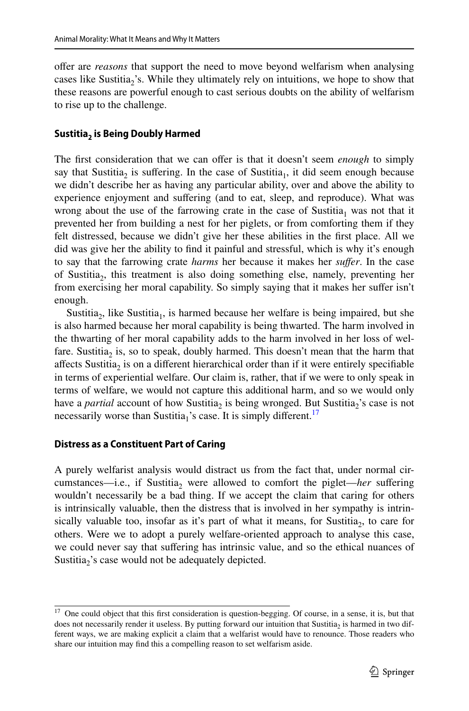ofer are *reasons* that support the need to move beyond welfarism when analysing cases like Sustitia<sub>2</sub>'s. While they ultimately rely on intuitions, we hope to show that these reasons are powerful enough to cast serious doubts on the ability of welfarism to rise up to the challenge.

## **Sustitia<sub>2</sub> is Being Doubly Harmed**

The first consideration that we can offer is that it doesn't seem *enough* to simply say that Sustitia<sub>2</sub> is suffering. In the case of Sustitia<sub>1</sub>, it did seem enough because we didn't describe her as having any particular ability, over and above the ability to experience enjoyment and sufering (and to eat, sleep, and reproduce). What was wrong about the use of the farrowing crate in the case of Sustitia<sub>1</sub> was not that it prevented her from building a nest for her piglets, or from comforting them if they felt distressed, because we didn't give her these abilities in the frst place. All we did was give her the ability to fnd it painful and stressful, which is why it's enough to say that the farrowing crate *harms* her because it makes her *sufer*. In the case of Sustitia<sub>2</sub>, this treatment is also doing something else, namely, preventing her from exercising her moral capability. So simply saying that it makes her sufer isn't enough.

Sustitia<sub>2</sub>, like Sustitia<sub>1</sub>, is harmed because her welfare is being impaired, but she is also harmed because her moral capability is being thwarted. The harm involved in the thwarting of her moral capability adds to the harm involved in her loss of welfare. Sustitia<sub>2</sub> is, so to speak, doubly harmed. This doesn't mean that the harm that affects Sustitia<sub>2</sub> is on a different hierarchical order than if it were entirely specifiable in terms of experiential welfare. Our claim is, rather, that if we were to only speak in terms of welfare, we would not capture this additional harm, and so we would only have a *partial* account of how Sustitia<sub>2</sub> is being wronged. But Sustitia<sub>2</sub>'s case is not necessarily worse than Sustitia<sub>1</sub>'s case. It is simply different.<sup>17</sup>

## **Distress as a Constituent Part of Caring**

A purely welfarist analysis would distract us from the fact that, under normal circumstances—i.e., if Sustitia<sub>2</sub> were allowed to comfort the piglet—*her* suffering wouldn't necessarily be a bad thing. If we accept the claim that caring for others is intrinsically valuable, then the distress that is involved in her sympathy is intrinsically valuable too, insofar as it's part of what it means, for Sustitia<sub>2</sub>, to care for others. Were we to adopt a purely welfare-oriented approach to analyse this case, we could never say that sufering has intrinsic value, and so the ethical nuances of Sustitia<sub>2</sub>'s case would not be adequately depicted.

<span id="page-14-0"></span><sup>&</sup>lt;sup>17</sup> One could object that this first consideration is question-begging. Of course, in a sense, it is, but that does not necessarily render it useless. By putting forward our intuition that Sustitia<sub>2</sub> is harmed in two different ways, we are making explicit a claim that a welfarist would have to renounce. Those readers who share our intuition may fnd this a compelling reason to set welfarism aside.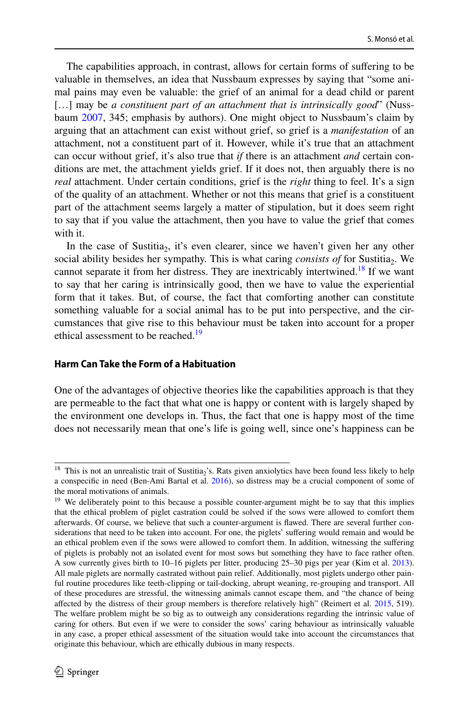The capabilities approach, in contrast, allows for certain forms of sufering to be valuable in themselves, an idea that Nussbaum expresses by saying that "some animal pains may even be valuable: the grief of an animal for a dead child or parent […] may be *a constituent part of an attachment that is intrinsically good*" (Nussbaum [2007,](#page-25-0) 345; emphasis by authors). One might object to Nussbaum's claim by arguing that an attachment can exist without grief, so grief is a *manifestation* of an attachment, not a constituent part of it. However, while it's true that an attachment can occur without grief, it's also true that *if* there is an attachment *and* certain conditions are met, the attachment yields grief. If it does not, then arguably there is no *real* attachment. Under certain conditions, grief is the *right* thing to feel. It's a sign of the quality of an attachment. Whether or not this means that grief is a constituent part of the attachment seems largely a matter of stipulation, but it does seem right to say that if you value the attachment, then you have to value the grief that comes with it.

In the case of Sustitia<sub>2</sub>, it's even clearer, since we haven't given her any other social ability besides her sympathy. This is what caring *consists of* for Sustitia<sub>2</sub>. We cannot separate it from her distress. They are inextricably intertwined.<sup>18</sup> If we want to say that her caring is intrinsically good, then we have to value the experiential form that it takes. But, of course, the fact that comforting another can constitute something valuable for a social animal has to be put into perspective, and the circumstances that give rise to this behaviour must be taken into account for a proper ethical assessment to be reached.<sup>[19](#page-15-1)</sup>

## **Harm Can Take the Form of a Habituation**

One of the advantages of objective theories like the capabilities approach is that they are permeable to the fact that what one is happy or content with is largely shaped by the environment one develops in. Thus, the fact that one is happy most of the time does not necessarily mean that one's life is going well, since one's happiness can be

<span id="page-15-0"></span> $18$  This is not an unrealistic trait of Sustitia<sub>2</sub>'s. Rats given anxiolytics have been found less likely to help a conspecifc in need (Ben-Ami Bartal et al. [2016](#page-22-3)), so distress may be a crucial component of some of the moral motivations of animals.

<span id="page-15-1"></span><sup>&</sup>lt;sup>19</sup> We deliberately point to this because a possible counter-argument might be to say that this implies that the ethical problem of piglet castration could be solved if the sows were allowed to comfort them afterwards. Of course, we believe that such a counter-argument is fawed. There are several further considerations that need to be taken into account. For one, the piglets' suffering would remain and would be an ethical problem even if the sows were allowed to comfort them. In addition, witnessing the sufering of piglets is probably not an isolated event for most sows but something they have to face rather often. A sow currently gives birth to 10–16 piglets per litter, producing 25–30 pigs per year (Kim et al. [2013\)](#page-25-19). All male piglets are normally castrated without pain relief. Additionally, most piglets undergo other painful routine procedures like teeth-clipping or tail-docking, abrupt weaning, re-grouping and transport. All of these procedures are stressful, the witnessing animals cannot escape them, and "the chance of being afected by the distress of their group members is therefore relatively high" (Reimert et al. [2015,](#page-26-22) 519). The welfare problem might be so big as to outweigh any considerations regarding the intrinsic value of caring for others. But even if we were to consider the sows' caring behaviour as intrinsically valuable in any case, a proper ethical assessment of the situation would take into account the circumstances that originate this behaviour, which are ethically dubious in many respects.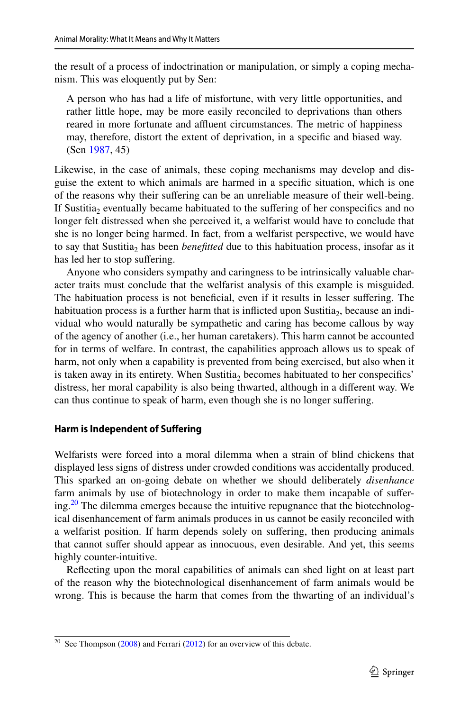the result of a process of indoctrination or manipulation, or simply a coping mechanism. This was eloquently put by Sen:

A person who has had a life of misfortune, with very little opportunities, and rather little hope, may be more easily reconciled to deprivations than others reared in more fortunate and affluent circumstances. The metric of happiness may, therefore, distort the extent of deprivation, in a specifc and biased way. (Sen [1987](#page-27-17), 45)

Likewise, in the case of animals, these coping mechanisms may develop and disguise the extent to which animals are harmed in a specifc situation, which is one of the reasons why their sufering can be an unreliable measure of their well-being. If Sustitia<sub>2</sub> eventually became habituated to the suffering of her conspecifics and no longer felt distressed when she perceived it, a welfarist would have to conclude that she is no longer being harmed. In fact, from a welfarist perspective, we would have to say that Sustitia<sub>2</sub> has been *benefitted* due to this habituation process, insofar as it has led her to stop sufering.

Anyone who considers sympathy and caringness to be intrinsically valuable character traits must conclude that the welfarist analysis of this example is misguided. The habituation process is not beneficial, even if it results in lesser suffering. The habituation process is a further harm that is inflicted upon Sustitia<sub>2</sub>, because an individual who would naturally be sympathetic and caring has become callous by way of the agency of another (i.e., her human caretakers). This harm cannot be accounted for in terms of welfare. In contrast, the capabilities approach allows us to speak of harm, not only when a capability is prevented from being exercised, but also when it is taken away in its entirety. When Sustitia<sub>2</sub> becomes habituated to her conspecifics' distress, her moral capability is also being thwarted, although in a diferent way. We can thus continue to speak of harm, even though she is no longer sufering.

## **Harm is Independent of Sufering**

Welfarists were forced into a moral dilemma when a strain of blind chickens that displayed less signs of distress under crowded conditions was accidentally produced. This sparked an on-going debate on whether we should deliberately *disenhance* farm animals by use of biotechnology in order to make them incapable of sufer $ing.<sup>20</sup>$  The dilemma emerges because the intuitive repugnance that the biotechnological disenhancement of farm animals produces in us cannot be easily reconciled with a welfarist position. If harm depends solely on sufering, then producing animals that cannot suffer should appear as innocuous, even desirable. And yet, this seems highly counter-intuitive.

Refecting upon the moral capabilities of animals can shed light on at least part of the reason why the biotechnological disenhancement of farm animals would be wrong. This is because the harm that comes from the thwarting of an individual's

<span id="page-16-0"></span><sup>&</sup>lt;sup>20</sup> See Thompson ( $2008$ ) and Ferrari ( $2012$ ) for an overview of this debate.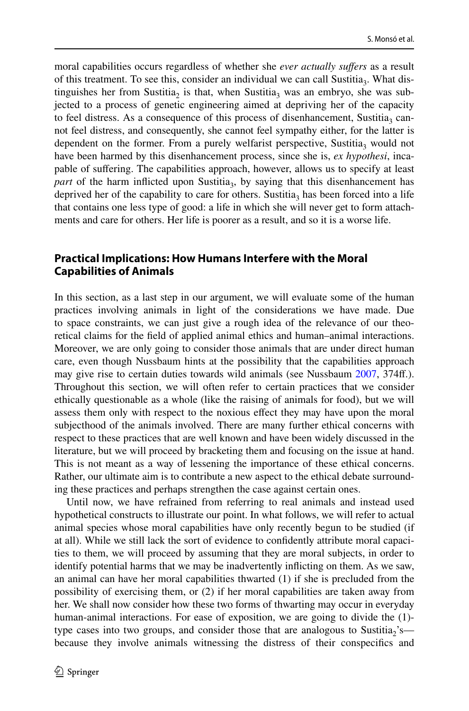moral capabilities occurs regardless of whether she *ever actually sufers* as a result of this treatment. To see this, consider an individual we can call Sustitia<sub>3</sub>. What distinguishes her from Sustitia<sub>2</sub> is that, when Sustitia<sub>3</sub> was an embryo, she was subjected to a process of genetic engineering aimed at depriving her of the capacity to feel distress. As a consequence of this process of disenhancement, Sustitia<sub>3</sub> cannot feel distress, and consequently, she cannot feel sympathy either, for the latter is dependent on the former. From a purely welfarist perspective, Sustitia<sub>3</sub> would not have been harmed by this disenhancement process, since she is, *ex hypothesi*, incapable of sufering. The capabilities approach, however, allows us to specify at least *part* of the harm inflicted upon Sustitia<sub>3</sub>, by saying that this disenhancement has deprived her of the capability to care for others. Sustitia<sub>3</sub> has been forced into a life that contains one less type of good: a life in which she will never get to form attachments and care for others. Her life is poorer as a result, and so it is a worse life.

# **Practical Implications: How Humans Interfere with the Moral Capabilities of Animals**

In this section, as a last step in our argument, we will evaluate some of the human practices involving animals in light of the considerations we have made. Due to space constraints, we can just give a rough idea of the relevance of our theoretical claims for the feld of applied animal ethics and human–animal interactions. Moreover, we are only going to consider those animals that are under direct human care, even though Nussbaum hints at the possibility that the capabilities approach may give rise to certain duties towards wild animals (see Nussbaum [2007](#page-25-0), 374f.). Throughout this section, we will often refer to certain practices that we consider ethically questionable as a whole (like the raising of animals for food), but we will assess them only with respect to the noxious efect they may have upon the moral subjecthood of the animals involved. There are many further ethical concerns with respect to these practices that are well known and have been widely discussed in the literature, but we will proceed by bracketing them and focusing on the issue at hand. This is not meant as a way of lessening the importance of these ethical concerns. Rather, our ultimate aim is to contribute a new aspect to the ethical debate surrounding these practices and perhaps strengthen the case against certain ones.

Until now, we have refrained from referring to real animals and instead used hypothetical constructs to illustrate our point. In what follows, we will refer to actual animal species whose moral capabilities have only recently begun to be studied (if at all). While we still lack the sort of evidence to confdently attribute moral capacities to them, we will proceed by assuming that they are moral subjects, in order to identify potential harms that we may be inadvertently inficting on them. As we saw, an animal can have her moral capabilities thwarted (1) if she is precluded from the possibility of exercising them, or (2) if her moral capabilities are taken away from her. We shall now consider how these two forms of thwarting may occur in everyday human-animal interactions. For ease of exposition, we are going to divide the (1) type cases into two groups, and consider those that are analogous to Sustitia<sub>2</sub>'s because they involve animals witnessing the distress of their conspecifcs and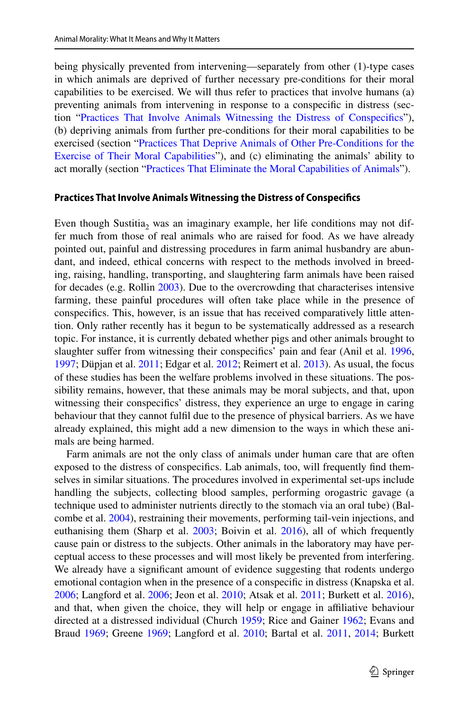being physically prevented from intervening—separately from other (1)-type cases in which animals are deprived of further necessary pre-conditions for their moral capabilities to be exercised. We will thus refer to practices that involve humans (a) preventing animals from intervening in response to a conspecifc in distress (section "[Practices That Involve Animals Witnessing the Distress of Conspecifcs](#page-18-0)"), (b) depriving animals from further pre-conditions for their moral capabilities to be exercised (section ["Practices That Deprive Animals of Other Pre-Conditions for the](#page-19-0) [Exercise of Their Moral Capabilities"](#page-19-0)), and (c) eliminating the animals' ability to act morally (section ["Practices That Eliminate the Moral Capabilities of Animals"](#page-20-0)).

#### <span id="page-18-0"></span>**Practices That Involve Animals Witnessing the Distress of Conspecifcs**

Even though Sustitia, was an imaginary example, her life conditions may not differ much from those of real animals who are raised for food. As we have already pointed out, painful and distressing procedures in farm animal husbandry are abundant, and indeed, ethical concerns with respect to the methods involved in breeding, raising, handling, transporting, and slaughtering farm animals have been raised for decades (e.g. Rollin  $2003$ ). Due to the overcrowding that characterises intensive farming, these painful procedures will often take place while in the presence of conspecifcs. This, however, is an issue that has received comparatively little attention. Only rather recently has it begun to be systematically addressed as a research topic. For instance, it is currently debated whether pigs and other animals brought to slaughter suffer from witnessing their conspecifics' pain and fear (Anil et al. [1996,](#page-22-4) [1997](#page-22-5); Düpjan et al. [2011;](#page-24-15) Edgar et al. [2012;](#page-24-16) Reimert et al. [2013](#page-26-21)). As usual, the focus of these studies has been the welfare problems involved in these situations. The possibility remains, however, that these animals may be moral subjects, and that, upon witnessing their conspecifcs' distress, they experience an urge to engage in caring behaviour that they cannot fulfl due to the presence of physical barriers. As we have already explained, this might add a new dimension to the ways in which these animals are being harmed.

Farm animals are not the only class of animals under human care that are often exposed to the distress of conspecifcs. Lab animals, too, will frequently fnd themselves in similar situations. The procedures involved in experimental set-ups include handling the subjects, collecting blood samples, performing orogastric gavage (a technique used to administer nutrients directly to the stomach via an oral tube) (Balcombe et al. [2004\)](#page-22-6), restraining their movements, performing tail-vein injections, and euthanising them (Sharp et al. [2003;](#page-27-19) Boivin et al. [2016](#page-23-18)), all of which frequently cause pain or distress to the subjects. Other animals in the laboratory may have perceptual access to these processes and will most likely be prevented from interfering. We already have a signifcant amount of evidence suggesting that rodents undergo emotional contagion when in the presence of a conspecifc in distress (Knapska et al. [2006](#page-25-16); Langford et al. [2006;](#page-25-14) Jeon et al. [2010;](#page-25-15) Atsak et al. [2011;](#page-22-2) Burkett et al. [2016\)](#page-23-7), and that, when given the choice, they will help or engage in afliative behaviour directed at a distressed individual (Church [1959;](#page-23-0) Rice and Gainer [1962;](#page-26-4) Evans and Braud [1969;](#page-24-0) Greene [1969;](#page-24-1) Langford et al. [2010](#page-25-20); Bartal et al. [2011](#page-22-0), [2014](#page-23-19); Burkett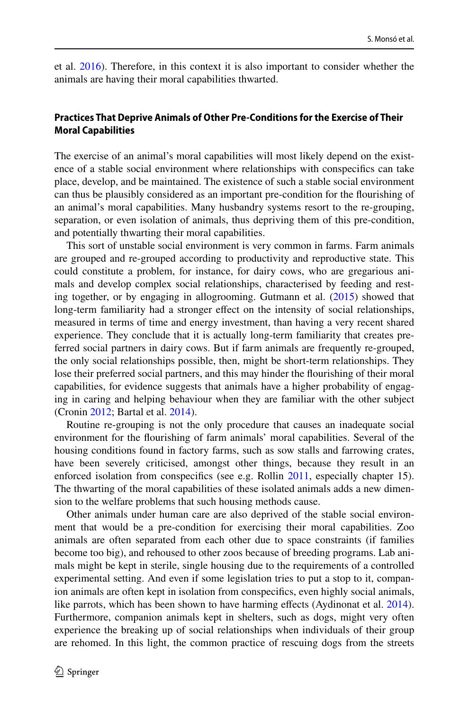et al. [2016\)](#page-23-7). Therefore, in this context it is also important to consider whether the animals are having their moral capabilities thwarted.

# <span id="page-19-0"></span>**Practices That Deprive Animals of Other Pre‑Conditions for the Exercise of Their Moral Capabilities**

The exercise of an animal's moral capabilities will most likely depend on the existence of a stable social environment where relationships with conspecifcs can take place, develop, and be maintained. The existence of such a stable social environment can thus be plausibly considered as an important pre-condition for the fourishing of an animal's moral capabilities. Many husbandry systems resort to the re-grouping, separation, or even isolation of animals, thus depriving them of this pre-condition, and potentially thwarting their moral capabilities.

This sort of unstable social environment is very common in farms. Farm animals are grouped and re-grouped according to productivity and reproductive state. This could constitute a problem, for instance, for dairy cows, who are gregarious animals and develop complex social relationships, characterised by feeding and resting together, or by engaging in allogrooming. Gutmann et al. [\(2015](#page-24-17)) showed that long-term familiarity had a stronger effect on the intensity of social relationships, measured in terms of time and energy investment, than having a very recent shared experience. They conclude that it is actually long-term familiarity that creates preferred social partners in dairy cows. But if farm animals are frequently re-grouped, the only social relationships possible, then, might be short-term relationships. They lose their preferred social partners, and this may hinder the fourishing of their moral capabilities, for evidence suggests that animals have a higher probability of engaging in caring and helping behaviour when they are familiar with the other subject (Cronin [2012;](#page-23-20) Bartal et al. [2014\)](#page-23-19).

Routine re-grouping is not the only procedure that causes an inadequate social environment for the fourishing of farm animals' moral capabilities. Several of the housing conditions found in factory farms, such as sow stalls and farrowing crates, have been severely criticised, amongst other things, because they result in an enforced isolation from conspecifcs (see e.g. Rollin [2011,](#page-26-27) especially chapter 15). The thwarting of the moral capabilities of these isolated animals adds a new dimension to the welfare problems that such housing methods cause.

Other animals under human care are also deprived of the stable social environment that would be a pre-condition for exercising their moral capabilities. Zoo animals are often separated from each other due to space constraints (if families become too big), and rehoused to other zoos because of breeding programs. Lab animals might be kept in sterile, single housing due to the requirements of a controlled experimental setting. And even if some legislation tries to put a stop to it, companion animals are often kept in isolation from conspecifcs, even highly social animals, like parrots, which has been shown to have harming efects (Aydinonat et al. [2014\)](#page-22-7). Furthermore, companion animals kept in shelters, such as dogs, might very often experience the breaking up of social relationships when individuals of their group are rehomed. In this light, the common practice of rescuing dogs from the streets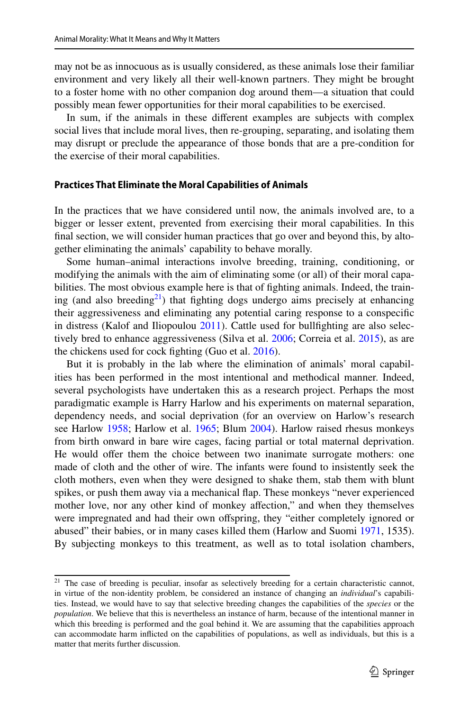may not be as innocuous as is usually considered, as these animals lose their familiar environment and very likely all their well-known partners. They might be brought to a foster home with no other companion dog around them—a situation that could possibly mean fewer opportunities for their moral capabilities to be exercised.

In sum, if the animals in these diferent examples are subjects with complex social lives that include moral lives, then re-grouping, separating, and isolating them may disrupt or preclude the appearance of those bonds that are a pre-condition for the exercise of their moral capabilities.

#### <span id="page-20-0"></span>**Practices That Eliminate the Moral Capabilities of Animals**

In the practices that we have considered until now, the animals involved are, to a bigger or lesser extent, prevented from exercising their moral capabilities. In this fnal section, we will consider human practices that go over and beyond this, by altogether eliminating the animals' capability to behave morally.

Some human–animal interactions involve breeding, training, conditioning, or modifying the animals with the aim of eliminating some (or all) of their moral capabilities. The most obvious example here is that of fghting animals. Indeed, the training (and also breeding<sup>21</sup>) that fighting dogs undergo aims precisely at enhancing their aggressiveness and eliminating any potential caring response to a conspecifc in distress (Kalof and Iliopoulou [2011](#page-25-21)). Cattle used for bullfghting are also selectively bred to enhance aggressiveness (Silva et al. [2006;](#page-27-20) Correia et al. [2015](#page-23-21)), as are the chickens used for cock fghting (Guo et al. [2016](#page-24-18)).

But it is probably in the lab where the elimination of animals' moral capabilities has been performed in the most intentional and methodical manner. Indeed, several psychologists have undertaken this as a research project. Perhaps the most paradigmatic example is Harry Harlow and his experiments on maternal separation, dependency needs, and social deprivation (for an overview on Harlow's research see Harlow [1958](#page-24-19); Harlow et al. [1965;](#page-24-20) Blum [2004](#page-23-22)). Harlow raised rhesus monkeys from birth onward in bare wire cages, facing partial or total maternal deprivation. He would ofer them the choice between two inanimate surrogate mothers: one made of cloth and the other of wire. The infants were found to insistently seek the cloth mothers, even when they were designed to shake them, stab them with blunt spikes, or push them away via a mechanical fap. These monkeys "never experienced mother love, nor any other kind of monkey afection," and when they themselves were impregnated and had their own ofspring, they "either completely ignored or abused" their babies, or in many cases killed them (Harlow and Suomi [1971](#page-24-21), 1535). By subjecting monkeys to this treatment, as well as to total isolation chambers,

<span id="page-20-1"></span><sup>&</sup>lt;sup>21</sup> The case of breeding is peculiar, insofar as selectively breeding for a certain characteristic cannot, in virtue of the non-identity problem, be considered an instance of changing an *individual*'s capabilities. Instead, we would have to say that selective breeding changes the capabilities of the *species* or the *population*. We believe that this is nevertheless an instance of harm, because of the intentional manner in which this breeding is performed and the goal behind it. We are assuming that the capabilities approach can accommodate harm inficted on the capabilities of populations, as well as individuals, but this is a matter that merits further discussion.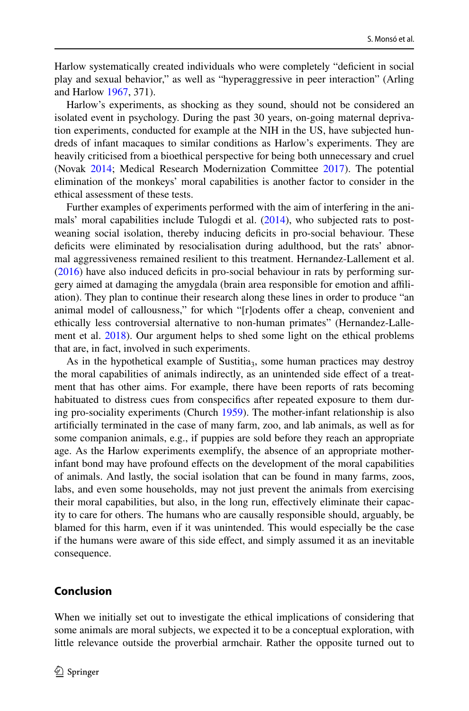Harlow systematically created individuals who were completely "defcient in social play and sexual behavior," as well as "hyperaggressive in peer interaction" (Arling and Harlow [1967](#page-22-8), 371).

Harlow's experiments, as shocking as they sound, should not be considered an isolated event in psychology. During the past 30 years, on-going maternal deprivation experiments, conducted for example at the NIH in the US, have subjected hundreds of infant macaques to similar conditions as Harlow's experiments. They are heavily criticised from a bioethical perspective for being both unnecessary and cruel (Novak [2014;](#page-25-22) Medical Research Modernization Committee [2017](#page-25-23)). The potential elimination of the monkeys' moral capabilities is another factor to consider in the ethical assessment of these tests.

Further examples of experiments performed with the aim of interfering in the ani-mals' moral capabilities include Tulogdi et al. ([2014\)](#page-27-21), who subjected rats to postweaning social isolation, thereby inducing defcits in pro-social behaviour. These defcits were eliminated by resocialisation during adulthood, but the rats' abnormal aggressiveness remained resilient to this treatment. Hernandez-Lallement et al.  $(2016)$  $(2016)$  have also induced deficits in pro-social behaviour in rats by performing surgery aimed at damaging the amygdala (brain area responsible for emotion and afliation). They plan to continue their research along these lines in order to produce "an animal model of callousness," for which "[r]odents offer a cheap, convenient and ethically less controversial alternative to non-human primates" (Hernandez-Lallement et al. [2018](#page-24-23)). Our argument helps to shed some light on the ethical problems that are, in fact, involved in such experiments.

As in the hypothetical example of Sustitia<sub>3</sub>, some human practices may destroy the moral capabilities of animals indirectly, as an unintended side efect of a treatment that has other aims. For example, there have been reports of rats becoming habituated to distress cues from conspecifcs after repeated exposure to them during pro-sociality experiments (Church [1959\)](#page-23-0). The mother-infant relationship is also artifcially terminated in the case of many farm, zoo, and lab animals, as well as for some companion animals, e.g., if puppies are sold before they reach an appropriate age. As the Harlow experiments exemplify, the absence of an appropriate motherinfant bond may have profound efects on the development of the moral capabilities of animals. And lastly, the social isolation that can be found in many farms, zoos, labs, and even some households, may not just prevent the animals from exercising their moral capabilities, but also, in the long run, efectively eliminate their capacity to care for others. The humans who are causally responsible should, arguably, be blamed for this harm, even if it was unintended. This would especially be the case if the humans were aware of this side efect, and simply assumed it as an inevitable consequence.

# **Conclusion**

When we initially set out to investigate the ethical implications of considering that some animals are moral subjects, we expected it to be a conceptual exploration, with little relevance outside the proverbial armchair. Rather the opposite turned out to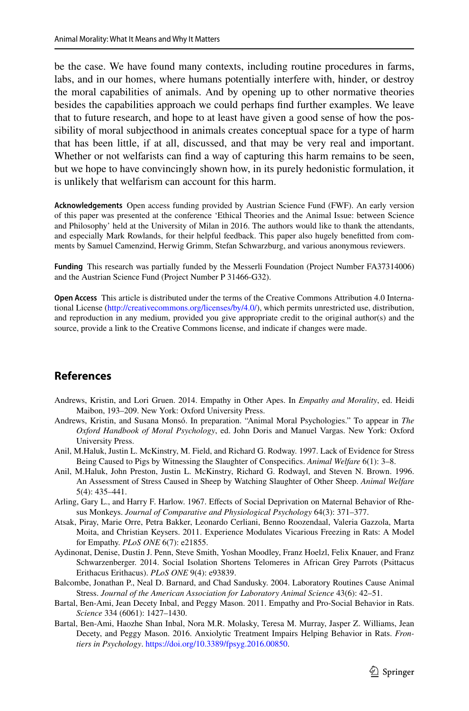be the case. We have found many contexts, including routine procedures in farms, labs, and in our homes, where humans potentially interfere with, hinder, or destroy the moral capabilities of animals. And by opening up to other normative theories besides the capabilities approach we could perhaps fnd further examples. We leave that to future research, and hope to at least have given a good sense of how the possibility of moral subjecthood in animals creates conceptual space for a type of harm that has been little, if at all, discussed, and that may be very real and important. Whether or not welfarists can fnd a way of capturing this harm remains to be seen, but we hope to have convincingly shown how, in its purely hedonistic formulation, it is unlikely that welfarism can account for this harm.

**Acknowledgements** Open access funding provided by Austrian Science Fund (FWF). An early version of this paper was presented at the conference 'Ethical Theories and the Animal Issue: between Science and Philosophy' held at the University of Milan in 2016. The authors would like to thank the attendants, and especially Mark Rowlands, for their helpful feedback. This paper also hugely beneftted from comments by Samuel Camenzind, Herwig Grimm, Stefan Schwarzburg, and various anonymous reviewers.

**Funding** This research was partially funded by the Messerli Foundation (Project Number FA37314006) and the Austrian Science Fund (Project Number P 31466-G32).

**Open Access** This article is distributed under the terms of the Creative Commons Attribution 4.0 International License ([http://creativecommons.org/licenses/by/4.0/\)](http://creativecommons.org/licenses/by/4.0/), which permits unrestricted use, distribution, and reproduction in any medium, provided you give appropriate credit to the original author(s) and the source, provide a link to the Creative Commons license, and indicate if changes were made.

# **References**

- <span id="page-22-1"></span>Andrews, Kristin, and Lori Gruen. 2014. Empathy in Other Apes. In *Empathy and Morality*, ed. Heidi Maibon, 193–209. New York: Oxford University Press.
- Andrews, Kristin, and Susana Monsó. In preparation. "Animal Moral Psychologies." To appear in *The Oxford Handbook of Moral Psychology*, ed. John Doris and Manuel Vargas. New York: Oxford University Press.
- <span id="page-22-5"></span>Anil, M.Haluk, Justin L. McKinstry, M. Field, and Richard G. Rodway. 1997. Lack of Evidence for Stress Being Caused to Pigs by Witnessing the Slaughter of Conspecifcs. *Animal Welfare* 6(1): 3–8.
- <span id="page-22-4"></span>Anil, M.Haluk, John Preston, Justin L. McKinstry, Richard G. Rodwayl, and Steven N. Brown. 1996. An Assessment of Stress Caused in Sheep by Watching Slaughter of Other Sheep. *Animal Welfare* 5(4): 435–441.
- <span id="page-22-8"></span>Arling, Gary L., and Harry F. Harlow. 1967. Efects of Social Deprivation on Maternal Behavior of Rhesus Monkeys. *Journal of Comparative and Physiological Psychology* 64(3): 371–377.
- <span id="page-22-2"></span>Atsak, Piray, Marie Orre, Petra Bakker, Leonardo Cerliani, Benno Roozendaal, Valeria Gazzola, Marta Moita, and Christian Keysers. 2011. Experience Modulates Vicarious Freezing in Rats: A Model for Empathy. *PLoS ONE* 6(7): e21855.
- <span id="page-22-7"></span>Aydinonat, Denise, Dustin J. Penn, Steve Smith, Yoshan Moodley, Franz Hoelzl, Felix Knauer, and Franz Schwarzenberger. 2014. Social Isolation Shortens Telomeres in African Grey Parrots (Psittacus Erithacus Erithacus). *PLoS ONE* 9(4): e93839.
- <span id="page-22-6"></span>Balcombe, Jonathan P., Neal D. Barnard, and Chad Sandusky. 2004. Laboratory Routines Cause Animal Stress. *Journal of the American Association for Laboratory Animal Science* 43(6): 42–51.
- <span id="page-22-0"></span>Bartal, Ben-Ami, Jean Decety Inbal, and Peggy Mason. 2011. Empathy and Pro-Social Behavior in Rats. *Science* 334 (6061): 1427–1430.
- <span id="page-22-3"></span>Bartal, Ben-Ami, Haozhe Shan Inbal, Nora M.R. Molasky, Teresa M. Murray, Jasper Z. Williams, Jean Decety, and Peggy Mason. 2016. Anxiolytic Treatment Impairs Helping Behavior in Rats. *Frontiers in Psychology*. [https://doi.org/10.3389/fpsyg.2016.00850.](https://doi.org/10.3389/fpsyg.2016.00850)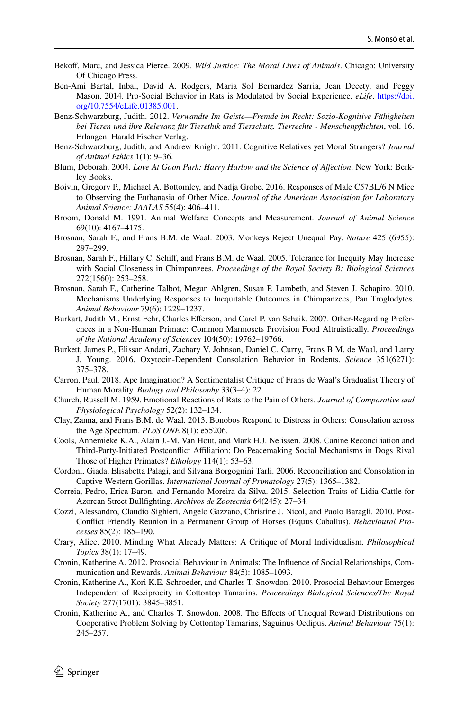- <span id="page-23-12"></span>Bekof, Marc, and Jessica Pierce. 2009. *Wild Justice: The Moral Lives of Animals*. Chicago: University Of Chicago Press.
- <span id="page-23-19"></span>Ben-Ami Bartal, Inbal, David A. Rodgers, Maria Sol Bernardez Sarria, Jean Decety, and Peggy Mason. 2014. Pro-Social Behavior in Rats is Modulated by Social Experience. *eLife*. [https://doi.](https://doi.org/10.7554/eLife.01385.001) [org/10.7554/eLife.01385.001](https://doi.org/10.7554/eLife.01385.001).
- <span id="page-23-14"></span>Benz-Schwarzburg, Judith. 2012. *Verwandte Im Geiste—Fremde im Recht: Sozio-Kognitive Fähigkeiten bei Tieren und ihre Relevanz für Tierethik und Tierschutz. Tierrechte - Menschenpfichten*, vol. 16. Erlangen: Harald Fischer Verlag.
- <span id="page-23-13"></span>Benz-Schwarzburg, Judith, and Andrew Knight. 2011. Cognitive Relatives yet Moral Strangers? *Journal of Animal Ethics* 1(1): 9–36.
- <span id="page-23-22"></span>Blum, Deborah. 2004. *Love At Goon Park: Harry Harlow and the Science of Afection*. New York: Berkley Books.
- <span id="page-23-18"></span>Boivin, Gregory P., Michael A. Bottomley, and Nadja Grobe. 2016. Responses of Male C57BL/6 N Mice to Observing the Euthanasia of Other Mice. *Journal of the American Association for Laboratory Animal Science: JAALAS* 55(4): 406–411.
- <span id="page-23-17"></span>Broom, Donald M. 1991. Animal Welfare: Concepts and Measurement. *Journal of Animal Science* 69(10): 4167–4175.
- <span id="page-23-10"></span>Brosnan, Sarah F., and Frans B.M. de Waal. 2003. Monkeys Reject Unequal Pay. *Nature* 425 (6955): 297–299.
- <span id="page-23-8"></span>Brosnan, Sarah F., Hillary C. Schif, and Frans B.M. de Waal. 2005. Tolerance for Inequity May Increase with Social Closeness in Chimpanzees. *Proceedings of the Royal Society B: Biological Sciences* 272(1560): 253–258.
- <span id="page-23-9"></span>Brosnan, Sarah F., Catherine Talbot, Megan Ahlgren, Susan P. Lambeth, and Steven J. Schapiro. 2010. Mechanisms Underlying Responses to Inequitable Outcomes in Chimpanzees, Pan Troglodytes. *Animal Behaviour* 79(6): 1229–1237.
- <span id="page-23-1"></span>Burkart, Judith M., Ernst Fehr, Charles Eferson, and Carel P. van Schaik. 2007. Other-Regarding Preferences in a Non-Human Primate: Common Marmosets Provision Food Altruistically. *Proceedings of the National Academy of Sciences* 104(50): 19762–19766.
- <span id="page-23-7"></span>Burkett, James P., Elissar Andari, Zachary V. Johnson, Daniel C. Curry, Frans B.M. de Waal, and Larry J. Young. 2016. Oxytocin-Dependent Consolation Behavior in Rodents. *Science* 351(6271): 375–378.
- <span id="page-23-15"></span>Carron, Paul. 2018. Ape Imagination? A Sentimentalist Critique of Frans de Waal's Gradualist Theory of Human Morality. *Biology and Philosophy* 33(3–4): 22.
- <span id="page-23-0"></span>Church, Russell M. 1959. Emotional Reactions of Rats to the Pain of Others. *Journal of Comparative and Physiological Psychology* 52(2): 132–134.
- <span id="page-23-4"></span>Clay, Zanna, and Frans B.M. de Waal. 2013. Bonobos Respond to Distress in Others: Consolation across the Age Spectrum. *PLoS ONE* 8(1): e55206.
- <span id="page-23-5"></span>Cools, Annemieke K.A., Alain J.-M. Van Hout, and Mark H.J. Nelissen. 2008. Canine Reconciliation and Third-Party-Initiated Postconfict Afliation: Do Peacemaking Social Mechanisms in Dogs Rival Those of Higher Primates? *Ethology* 114(1): 53–63.
- <span id="page-23-3"></span>Cordoni, Giada, Elisabetta Palagi, and Silvana Borgognini Tarli. 2006. Reconciliation and Consolation in Captive Western Gorillas. *International Journal of Primatology* 27(5): 1365–1382.
- <span id="page-23-21"></span>Correia, Pedro, Erica Baron, and Fernando Moreira da Silva. 2015. Selection Traits of Lidia Cattle for Azorean Street Bullfghting. *Archivos de Zootecnia* 64(245): 27–34.
- <span id="page-23-6"></span>Cozzi, Alessandro, Claudio Sighieri, Angelo Gazzano, Christine J. Nicol, and Paolo Baragli. 2010. Post-Confict Friendly Reunion in a Permanent Group of Horses (Equus Caballus). *Behavioural Processes* 85(2): 185–190.
- <span id="page-23-16"></span>Crary, Alice. 2010. Minding What Already Matters: A Critique of Moral Individualism. *Philosophical Topics* 38(1): 17–49.
- <span id="page-23-20"></span>Cronin, Katherine A. 2012. Prosocial Behaviour in Animals: The Infuence of Social Relationships, Communication and Rewards. *Animal Behaviour* 84(5): 1085–1093.
- <span id="page-23-2"></span>Cronin, Katherine A., Kori K.E. Schroeder, and Charles T. Snowdon. 2010. Prosocial Behaviour Emerges Independent of Reciprocity in Cottontop Tamarins. *Proceedings Biological Sciences/The Royal Society* 277(1701): 3845–3851.
- <span id="page-23-11"></span>Cronin, Katherine A., and Charles T. Snowdon. 2008. The Efects of Unequal Reward Distributions on Cooperative Problem Solving by Cottontop Tamarins, Saguinus Oedipus. *Animal Behaviour* 75(1): 245–257.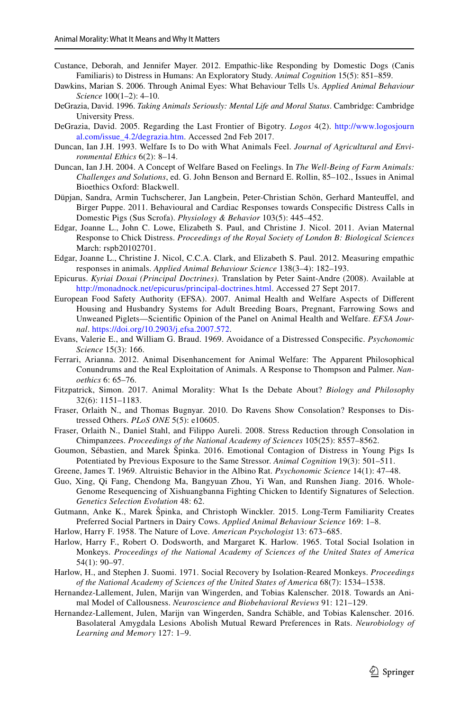- <span id="page-24-4"></span>Custance, Deborah, and Jennifer Mayer. 2012. Empathic-like Responding by Domestic Dogs (Canis Familiaris) to Distress in Humans: An Exploratory Study. *Animal Cognition* 15(5): 851–859.
- <span id="page-24-8"></span>Dawkins, Marian S. 2006. Through Animal Eyes: What Behaviour Tells Us. *Applied Animal Behaviour Science* 100(1–2): 4–10.
- <span id="page-24-10"></span>DeGrazia, David. 1996. *Taking Animals Seriously: Mental Life and Moral Status*. Cambridge: Cambridge University Press.
- <span id="page-24-9"></span>DeGrazia, David. 2005. Regarding the Last Frontier of Bigotry. *Logos* 4(2). [http://www.logosjourn](http://www.logosjournal.com/issue_4.2/degrazia.htm) [al.com/issue\\_4.2/degrazia.htm](http://www.logosjournal.com/issue_4.2/degrazia.htm). Accessed 2nd Feb 2017.
- <span id="page-24-7"></span>Duncan, Ian J.H. 1993. Welfare Is to Do with What Animals Feel. *Journal of Agricultural and Environmental Ethics* 6(2): 8–14.
- <span id="page-24-6"></span>Duncan, Ian J.H. 2004. A Concept of Welfare Based on Feelings. In *The Well-Being of Farm Animals: Challenges and Solutions*, ed. G. John Benson and Bernard E. Rollin, 85–102., Issues in Animal Bioethics Oxford: Blackwell.
- <span id="page-24-15"></span>Düpjan, Sandra, Armin Tuchscherer, Jan Langbein, Peter-Christian Schön, Gerhard Manteufel, and Birger Puppe. 2011. Behavioural and Cardiac Responses towards Conspecifc Distress Calls in Domestic Pigs (Sus Scrofa). *Physiology & Behavior* 103(5): 445–452.
- <span id="page-24-13"></span>Edgar, Joanne L., John C. Lowe, Elizabeth S. Paul, and Christine J. Nicol. 2011. Avian Maternal Response to Chick Distress. *Proceedings of the Royal Society of London B: Biological Sciences* March: rspb20102701.
- <span id="page-24-16"></span>Edgar, Joanne L., Christine J. Nicol, C.C.A. Clark, and Elizabeth S. Paul. 2012. Measuring empathic responses in animals. *Applied Animal Behaviour Science* 138(3–4): 182–193.
- Epicurus. *Kyriai Doxai (Principal Doctrines).* Translation by Peter Saint-Andre (2008). Available at [http://monadnock.net/epicurus/principal-doctrines.html.](http://monadnock.net/epicurus/principal-doctrines.html) Accessed 27 Sept 2017.
- <span id="page-24-11"></span>European Food Safety Authority (EFSA). 2007. Animal Health and Welfare Aspects of Diferent Housing and Husbandry Systems for Adult Breeding Boars, Pregnant, Farrowing Sows and Unweaned Piglets—Scientifc Opinion of the Panel on Animal Health and Welfare. *EFSA Journal*.<https://doi.org/10.2903/j.efsa.2007.572>.
- <span id="page-24-0"></span>Evans, Valerie E., and William G. Braud. 1969. Avoidance of a Distressed Conspecifc. *Psychonomic Science* 15(3): 166.
- <span id="page-24-14"></span>Ferrari, Arianna. 2012. Animal Disenhancement for Animal Welfare: The Apparent Philosophical Conundrums and the Real Exploitation of Animals. A Response to Thompson and Palmer. *Nanoethics* 6: 65–76.
- <span id="page-24-5"></span>Fitzpatrick, Simon. 2017. Animal Morality: What Is the Debate About? *Biology and Philosophy* 32(6): 1151–1183.
- <span id="page-24-3"></span>Fraser, Orlaith N., and Thomas Bugnyar. 2010. Do Ravens Show Consolation? Responses to Distressed Others. *PLoS ONE* 5(5): e10605.
- <span id="page-24-2"></span>Fraser, Orlaith N., Daniel Stahl, and Filippo Aureli. 2008. Stress Reduction through Consolation in Chimpanzees. *Proceedings of the National Academy of Sciences* 105(25): 8557–8562.
- <span id="page-24-12"></span>Goumon, Sébastien, and Marek Špinka. 2016. Emotional Contagion of Distress in Young Pigs Is Potentiated by Previous Exposure to the Same Stressor. *Animal Cognition* 19(3): 501–511.
- <span id="page-24-1"></span>Greene, James T. 1969. Altruistic Behavior in the Albino Rat. *Psychonomic Science* 14(1): 47–48.
- <span id="page-24-18"></span>Guo, Xing, Qi Fang, Chendong Ma, Bangyuan Zhou, Yi Wan, and Runshen Jiang. 2016. Whole-Genome Resequencing of Xishuangbanna Fighting Chicken to Identify Signatures of Selection. *Genetics Selection Evolution* 48: 62.
- <span id="page-24-17"></span>Gutmann, Anke K., Marek Špinka, and Christoph Winckler. 2015. Long-Term Familiarity Creates Preferred Social Partners in Dairy Cows. *Applied Animal Behaviour Science* 169: 1–8.
- <span id="page-24-19"></span>Harlow, Harry F. 1958. The Nature of Love. *American Psychologist* 13: 673–685.
- <span id="page-24-20"></span>Harlow, Harry F., Robert O. Dodsworth, and Margaret K. Harlow. 1965. Total Social Isolation in Monkeys. *Proceedings of the National Academy of Sciences of the United States of America* 54(1): 90–97.
- <span id="page-24-21"></span>Harlow, H., and Stephen J. Suomi. 1971. Social Recovery by Isolation-Reared Monkeys. *Proceedings of the National Academy of Sciences of the United States of America* 68(7): 1534–1538.
- <span id="page-24-23"></span>Hernandez-Lallement, Julen, Marijn van Wingerden, and Tobias Kalenscher. 2018. Towards an Animal Model of Callousness. *Neuroscience and Biobehavioral Reviews* 91: 121–129.
- <span id="page-24-22"></span>Hernandez-Lallement, Julen, Marijn van Wingerden, Sandra Schäble, and Tobias Kalenscher. 2016. Basolateral Amygdala Lesions Abolish Mutual Reward Preferences in Rats. *Neurobiology of Learning and Memory* 127: 1–9.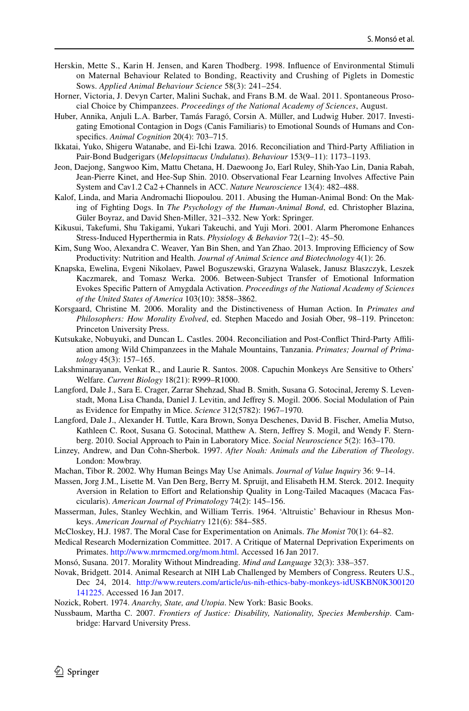- <span id="page-25-12"></span>Herskin, Mette S., Karin H. Jensen, and Karen Thodberg. 1998. Infuence of Environmental Stimuli on Maternal Behaviour Related to Bonding, Reactivity and Crushing of Piglets in Domestic Sows. *Applied Animal Behaviour Science* 58(3): 241–254.
- <span id="page-25-3"></span>Horner, Victoria, J. Devyn Carter, Malini Suchak, and Frans B.M. de Waal. 2011. Spontaneous Prosocial Choice by Chimpanzees. *Proceedings of the National Academy of Sciences*, August.
- <span id="page-25-13"></span>Huber, Annika, Anjuli L.A. Barber, Tamás Faragó, Corsin A. Müller, and Ludwig Huber. 2017. Investigating Emotional Contagion in Dogs (Canis Familiaris) to Emotional Sounds of Humans and Conspecifics. *Animal Cognition* 20(4): 703-715.
- <span id="page-25-5"></span>Ikkatai, Yuko, Shigeru Watanabe, and Ei-Ichi Izawa. 2016. Reconciliation and Third-Party Afliation in Pair-Bond Budgerigars (*Melopsittacus Undulatus*). *Behaviour* 153(9–11): 1173–1193.
- <span id="page-25-15"></span>Jeon, Daejong, Sangwoo Kim, Mattu Chetana, H. Daewoong Jo, Earl Ruley, Shih-Yao Lin, Dania Rabah, Jean-Pierre Kinet, and Hee-Sup Shin. 2010. Observational Fear Learning Involves Afective Pain System and Cav1.2 Ca2+Channels in ACC. *Nature Neuroscience* 13(4): 482–488.
- <span id="page-25-21"></span>Kalof, Linda, and Maria Andromachi Iliopoulou. 2011. Abusing the Human-Animal Bond: On the Making of Fighting Dogs. In *The Psychology of the Human-Animal Bond*, ed. Christopher Blazina, Güler Boyraz, and David Shen-Miller, 321–332. New York: Springer.
- <span id="page-25-18"></span>Kikusui, Takefumi, Shu Takigami, Yukari Takeuchi, and Yuji Mori. 2001. Alarm Pheromone Enhances Stress-Induced Hyperthermia in Rats. *Physiology & Behavior* 72(1–2): 45–50.
- <span id="page-25-19"></span>Kim, Sung Woo, Alexandra C. Weaver, Yan Bin Shen, and Yan Zhao. 2013. Improving Efficiency of Sow Productivity: Nutrition and Health. *Journal of Animal Science and Biotechnology* 4(1): 26.
- <span id="page-25-16"></span>Knapska, Ewelina, Evgeni Nikolaev, Pawel Boguszewski, Grazyna Walasek, Janusz Blaszczyk, Leszek Kaczmarek, and Tomasz Werka. 2006. Between-Subject Transfer of Emotional Information Evokes Specifc Pattern of Amygdala Activation. *Proceedings of the National Academy of Sciences of the United States of America* 103(10): 3858–3862.
- <span id="page-25-9"></span>Korsgaard, Christine M. 2006. Morality and the Distinctiveness of Human Action. In *Primates and Philosophers: How Morality Evolved*, ed. Stephen Macedo and Josiah Ober, 98–119. Princeton: Princeton University Press.
- <span id="page-25-4"></span>Kutsukake, Nobuyuki, and Duncan L. Castles. 2004. Reconciliation and Post-Confict Third-Party Afliation among Wild Chimpanzees in the Mahale Mountains, Tanzania. *Primates; Journal of Primatology* 45(3): 157–165.
- <span id="page-25-2"></span>Lakshminarayanan, Venkat R., and Laurie R. Santos. 2008. Capuchin Monkeys Are Sensitive to Others' Welfare. *Current Biology* 18(21): R999–R1000.
- <span id="page-25-14"></span>Langford, Dale J., Sara E. Crager, Zarrar Shehzad, Shad B. Smith, Susana G. Sotocinal, Jeremy S. Levenstadt, Mona Lisa Chanda, Daniel J. Levitin, and Jefrey S. Mogil. 2006. Social Modulation of Pain as Evidence for Empathy in Mice. *Science* 312(5782): 1967–1970.
- <span id="page-25-20"></span>Langford, Dale J., Alexander H. Tuttle, Kara Brown, Sonya Deschenes, David B. Fischer, Amelia Mutso, Kathleen C. Root, Susana G. Sotocinal, Matthew A. Stern, Jefrey S. Mogil, and Wendy F. Sternberg. 2010. Social Approach to Pain in Laboratory Mice. *Social Neuroscience* 5(2): 163–170.
- <span id="page-25-10"></span>Linzey, Andrew, and Dan Cohn-Sherbok. 1997. *After Noah: Animals and the Liberation of Theology*. London: Mowbray.
- <span id="page-25-8"></span>Machan, Tibor R. 2002. Why Human Beings May Use Animals. *Journal of Value Inquiry* 36: 9–14.
- <span id="page-25-6"></span>Massen, Jorg J.M., Lisette M. Van Den Berg, Berry M. Spruijt, and Elisabeth H.M. Sterck. 2012. Inequity Aversion in Relation to Effort and Relationship Quality in Long-Tailed Macaques (Macaca Fascicularis). *American Journal of Primatology* 74(2): 145–156.
- <span id="page-25-1"></span>Masserman, Jules, Stanley Wechkin, and William Terris. 1964. 'Altruistic' Behaviour in Rhesus Monkeys. *American Journal of Psychiatry* 121(6): 584–585.
- <span id="page-25-7"></span>McCloskey, H.J. 1987. The Moral Case for Experimentation on Animals. *The Monist* 70(1): 64–82.
- <span id="page-25-23"></span>Medical Research Modernization Committee. 2017. A Critique of Maternal Deprivation Experiments on Primates. <http://www.mrmcmed.org/mom.html>. Accessed 16 Jan 2017.
- <span id="page-25-17"></span>Monsó, Susana. 2017. Morality Without Mindreading. *Mind and Language* 32(3): 338–357.
- <span id="page-25-22"></span>Novak, Bridgett. 2014. Animal Research at NIH Lab Challenged by Members of Congress. Reuters U.S., Dec 24, 2014. [http://www.reuters.com/article/us-nih-ethics-baby-monkeys-idUSKBN0K300120](http://www.reuters.com/article/us-nih-ethics-baby-monkeys-idUSKBN0K300120141225) [141225.](http://www.reuters.com/article/us-nih-ethics-baby-monkeys-idUSKBN0K300120141225) Accessed 16 Jan 2017.
- <span id="page-25-11"></span>Nozick, Robert. 1974. *Anarchy, State, and Utopia*. New York: Basic Books.
- <span id="page-25-0"></span>Nussbaum, Martha C. 2007. *Frontiers of Justice: Disability, Nationality, Species Membership*. Cambridge: Harvard University Press.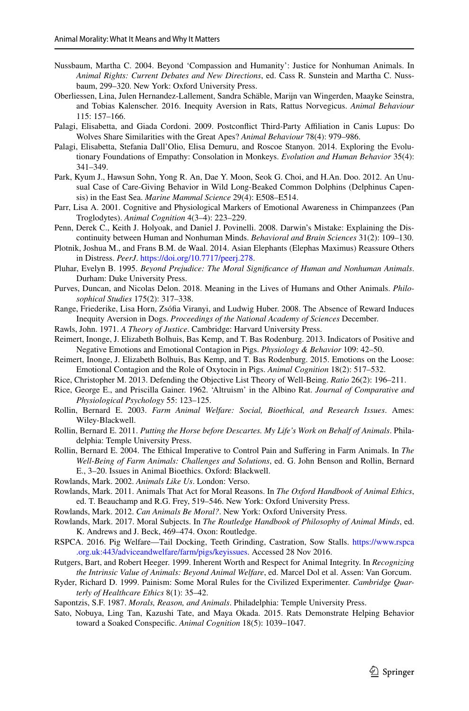- <span id="page-26-3"></span>Nussbaum, Martha C. 2004. Beyond 'Compassion and Humanity': Justice for Nonhuman Animals. In *Animal Rights: Current Debates and New Directions*, ed. Cass R. Sunstein and Martha C. Nussbaum, 299–320. New York: Oxford University Press.
- <span id="page-26-10"></span>Oberliessen, Lina, Julen Hernandez-Lallement, Sandra Schäble, Marijn van Wingerden, Maayke Seinstra, and Tobias Kalenscher. 2016. Inequity Aversion in Rats, Rattus Norvegicus. *Animal Behaviour* 115: 157–166.
- <span id="page-26-7"></span>Palagi, Elisabetta, and Giada Cordoni. 2009. Postconfict Third-Party Afliation in Canis Lupus: Do Wolves Share Similarities with the Great Apes? *Animal Behaviour* 78(4): 979–986.
- <span id="page-26-6"></span>Palagi, Elisabetta, Stefania Dall'Olio, Elisa Demuru, and Roscoe Stanyon. 2014. Exploring the Evolutionary Foundations of Empathy: Consolation in Monkeys. *Evolution and Human Behavior* 35(4): 341–349.
- <span id="page-26-13"></span>Park, Kyum J., Hawsun Sohn, Yong R. An, Dae Y. Moon, Seok G. Choi, and H.An. Doo. 2012. An Unusual Case of Care-Giving Behavior in Wild Long-Beaked Common Dolphins (Delphinus Capensis) in the East Sea. *Marine Mammal Science* 29(4): E508–E514.
- <span id="page-26-23"></span>Parr, Lisa A. 2001. Cognitive and Physiological Markers of Emotional Awareness in Chimpanzees (Pan Troglodytes). *Animal Cognition* 4(3–4): 223–229.
- <span id="page-26-16"></span>Penn, Derek C., Keith J. Holyoak, and Daniel J. Povinelli. 2008. Darwin's Mistake: Explaining the Discontinuity between Human and Nonhuman Minds. *Behavioral and Brain Sciences* 31(2): 109–130.
- <span id="page-26-8"></span>Plotnik, Joshua M., and Frans B.M. de Waal. 2014. Asian Elephants (Elephas Maximus) Reassure Others in Distress. *PeerJ*. <https://doi.org/10.7717/peerj.278>.
- <span id="page-26-12"></span>Pluhar, Evelyn B. 1995. *Beyond Prejudice: The Moral Signifcance of Human and Nonhuman Animals*. Durham: Duke University Press.
- <span id="page-26-24"></span>Purves, Duncan, and Nicolas Delon. 2018. Meaning in the Lives of Humans and Other Animals. *Philosophical Studies* 175(2): 317–338.
- <span id="page-26-9"></span>Range, Friederike, Lisa Horn, Zsófa Viranyi, and Ludwig Huber. 2008. The Absence of Reward Induces Inequity Aversion in Dogs. *Proceedings of the National Academy of Sciences* December.
- <span id="page-26-14"></span>Rawls, John. 1971. *A Theory of Justice*. Cambridge: Harvard University Press.
- <span id="page-26-21"></span>Reimert, Inonge, J. Elizabeth Bolhuis, Bas Kemp, and T. Bas Rodenburg. 2013. Indicators of Positive and Negative Emotions and Emotional Contagion in Pigs. *Physiology & Behavior* 109: 42–50.
- <span id="page-26-22"></span>Reimert, Inonge, J. Elizabeth Bolhuis, Bas Kemp, and T. Bas Rodenburg. 2015. Emotions on the Loose: Emotional Contagion and the Role of Oxytocin in Pigs. *Animal Cognition* 18(2): 517–532.
- <span id="page-26-17"></span>Rice, Christopher M. 2013. Defending the Objective List Theory of Well-Being. *Ratio* 26(2): 196–211.
- <span id="page-26-4"></span>Rice, George E., and Priscilla Gainer. 1962. 'Altruism' in the Albino Rat. *Journal of Comparative and Physiological Psychology* 55: 123–125.
- <span id="page-26-26"></span>Rollin, Bernard E. 2003. *Farm Animal Welfare: Social, Bioethical, and Research Issues*. Ames: Wiley-Blackwell.
- <span id="page-26-27"></span>Rollin, Bernard E. 2011. *Putting the Horse before Descartes. My Life's Work on Behalf of Animals*. Philadelphia: Temple University Press.
- <span id="page-26-18"></span>Rollin, Bernard E. 2004. The Ethical Imperative to Control Pain and Sufering in Farm Animals. In *The Well*-*Being of Farm Animals: Challenges and Solutions*, ed. G. John Benson and Rollin, Bernard E., 3–20. Issues in Animal Bioethics. Oxford: Blackwell.
- <span id="page-26-15"></span>Rowlands, Mark. 2002. *Animals Like Us*. London: Verso.
- <span id="page-26-0"></span>Rowlands, Mark. 2011. Animals That Act for Moral Reasons. In *The Oxford Handbook of Animal Ethics*, ed. T. Beauchamp and R.G. Frey, 519–546. New York: Oxford University Press.
- <span id="page-26-1"></span>Rowlands, Mark. 2012. *Can Animals Be Moral?*. New York: Oxford University Press.
- <span id="page-26-2"></span>Rowlands, Mark. 2017. Moral Subjects. In *The Routledge Handbook of Philosophy of Animal Minds*, ed. K. Andrews and J. Beck, 469–474. Oxon: Routledge.
- <span id="page-26-20"></span>RSPCA. 2016. Pig Welfare—Tail Docking, Teeth Grinding, Castration, Sow Stalls. [https://www.rspca](https://www.rspca.org.uk:443/adviceandwelfare/farm/pigs/keyissues) [.org.uk:443/adviceandwelfare/farm/pigs/keyissues.](https://www.rspca.org.uk:443/adviceandwelfare/farm/pigs/keyissues) Accessed 28 Nov 2016.
- <span id="page-26-25"></span>Rutgers, Bart, and Robert Heeger. 1999. Inherent Worth and Respect for Animal Integrity. In *Recognizing the Intrinsic Value of Animals: Beyond Animal Welfare*, ed. Marcel Dol et al. Assen: Van Gorcum.
- <span id="page-26-19"></span>Ryder, Richard D. 1999. Painism: Some Moral Rules for the Civilized Experimenter. *Cambridge Quarterly of Healthcare Ethics* 8(1): 35–42.
- <span id="page-26-11"></span>Sapontzis, S.F. 1987. *Morals, Reason, and Animals*. Philadelphia: Temple University Press.
- <span id="page-26-5"></span>Sato, Nobuya, Ling Tan, Kazushi Tate, and Maya Okada. 2015. Rats Demonstrate Helping Behavior toward a Soaked Conspecifc. *Animal Cognition* 18(5): 1039–1047.